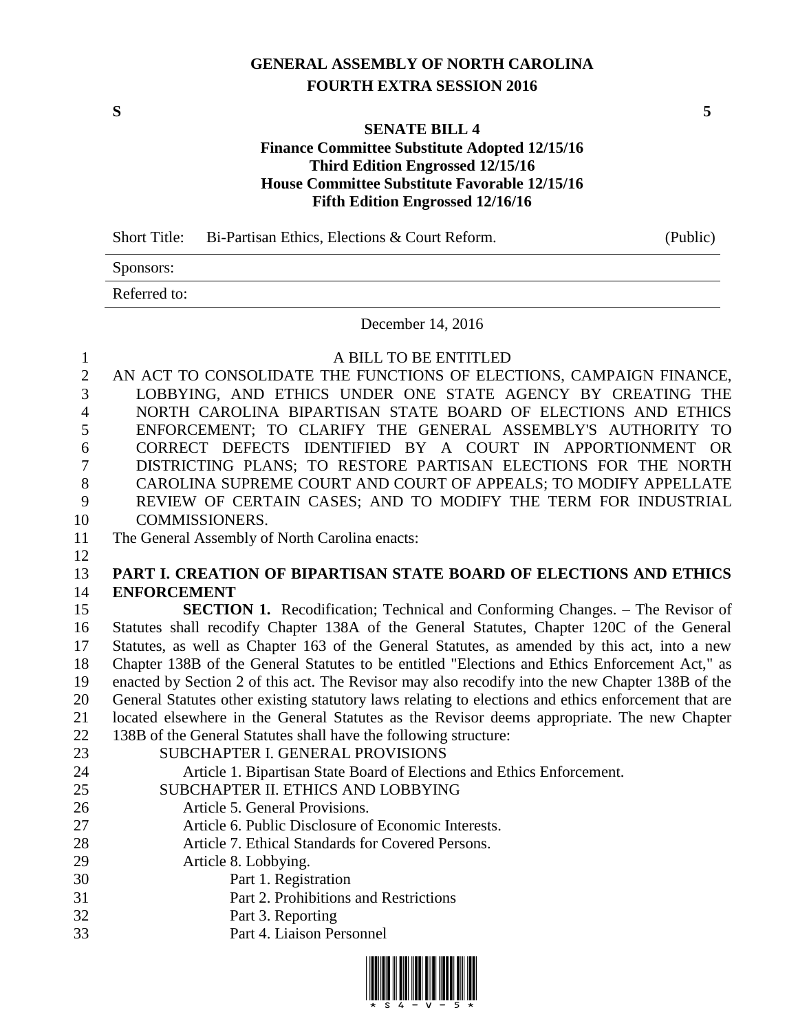## **GENERAL ASSEMBLY OF NORTH CAROLINA FOURTH EXTRA SESSION 2016**

**S 5**

## **SENATE BILL 4 Finance Committee Substitute Adopted 12/15/16 Third Edition Engrossed 12/15/16 House Committee Substitute Favorable 12/15/16 Fifth Edition Engrossed 12/16/16**

|              | Short Title: Bi-Partisan Ethics, Elections $&$ Court Reform. | (Public) |
|--------------|--------------------------------------------------------------|----------|
| Sponsors:    |                                                              |          |
| Referred to: |                                                              |          |
|              | $D_{\text{total}} = 14.001c$                                 |          |

December 14, 2016

### A BILL TO BE ENTITLED

 AN ACT TO CONSOLIDATE THE FUNCTIONS OF ELECTIONS, CAMPAIGN FINANCE, LOBBYING, AND ETHICS UNDER ONE STATE AGENCY BY CREATING THE NORTH CAROLINA BIPARTISAN STATE BOARD OF ELECTIONS AND ETHICS ENFORCEMENT; TO CLARIFY THE GENERAL ASSEMBLY'S AUTHORITY TO CORRECT DEFECTS IDENTIFIED BY A COURT IN APPORTIONMENT OR DISTRICTING PLANS; TO RESTORE PARTISAN ELECTIONS FOR THE NORTH CAROLINA SUPREME COURT AND COURT OF APPEALS; TO MODIFY APPELLATE REVIEW OF CERTAIN CASES; AND TO MODIFY THE TERM FOR INDUSTRIAL COMMISSIONERS.

### The General Assembly of North Carolina enacts:

## **PART I. CREATION OF BIPARTISAN STATE BOARD OF ELECTIONS AND ETHICS ENFORCEMENT**

 **SECTION 1.** Recodification; Technical and Conforming Changes. – The Revisor of Statutes shall recodify Chapter 138A of the General Statutes, Chapter 120C of the General Statutes, as well as Chapter 163 of the General Statutes, as amended by this act, into a new Chapter 138B of the General Statutes to be entitled "Elections and Ethics Enforcement Act," as enacted by Section 2 of this act. The Revisor may also recodify into the new Chapter 138B of the General Statutes other existing statutory laws relating to elections and ethics enforcement that are located elsewhere in the General Statutes as the Revisor deems appropriate. The new Chapter 138B of the General Statutes shall have the following structure:

- SUBCHAPTER I. GENERAL PROVISIONS Article 1. Bipartisan State Board of Elections and Ethics Enforcement. SUBCHAPTER II. ETHICS AND LOBBYING Article 5. General Provisions.
- 
- Article 6. Public Disclosure of Economic Interests.
- Article 7. Ethical Standards for Covered Persons.
- Article 8. Lobbying.
- Part 1. Registration
- Part 2. Prohibitions and Restrictions
- Part 3. Reporting
- Part 4. Liaison Personnel

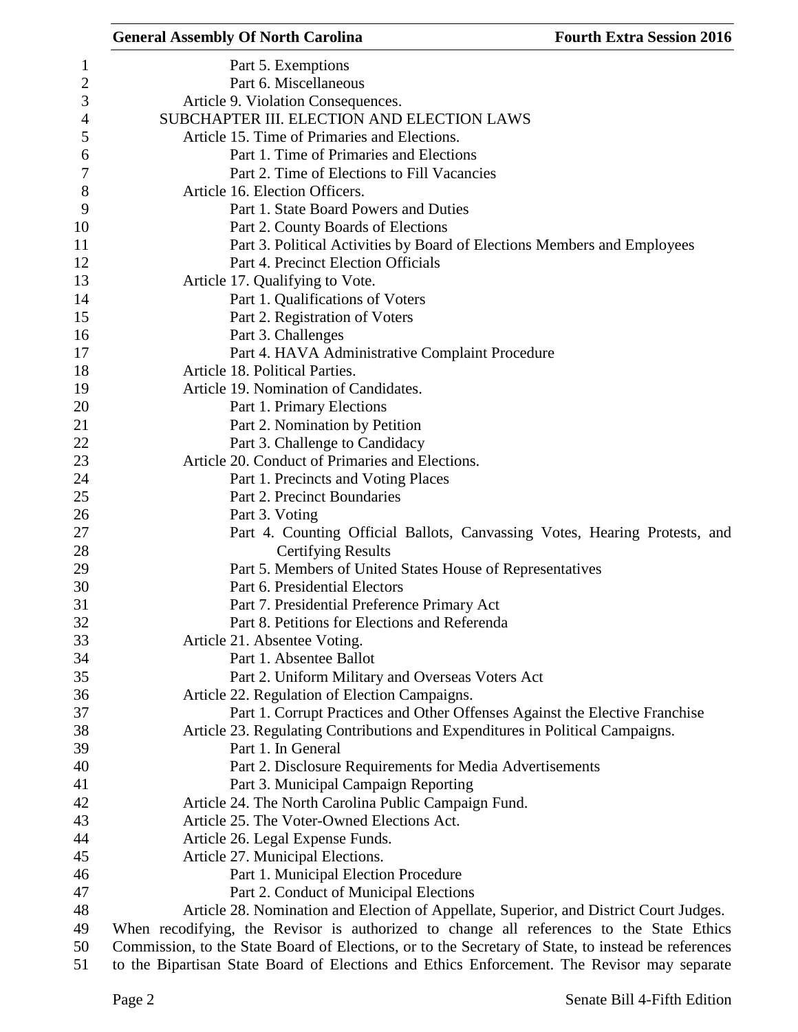|                         | <b>General Assembly Of North Carolina</b>                                                           | <b>Fourth Extra Session 2016</b> |
|-------------------------|-----------------------------------------------------------------------------------------------------|----------------------------------|
| 1                       | Part 5. Exemptions                                                                                  |                                  |
| $\overline{\mathbf{c}}$ | Part 6. Miscellaneous                                                                               |                                  |
| 3                       | Article 9. Violation Consequences.                                                                  |                                  |
| 4                       | SUBCHAPTER III. ELECTION AND ELECTION LAWS                                                          |                                  |
| 5                       | Article 15. Time of Primaries and Elections.                                                        |                                  |
| 6                       | Part 1. Time of Primaries and Elections                                                             |                                  |
| 7                       | Part 2. Time of Elections to Fill Vacancies                                                         |                                  |
| 8                       | Article 16. Election Officers.                                                                      |                                  |
| 9                       | Part 1. State Board Powers and Duties                                                               |                                  |
| 10                      | Part 2. County Boards of Elections                                                                  |                                  |
| 11                      | Part 3. Political Activities by Board of Elections Members and Employees                            |                                  |
| 12                      | Part 4. Precinct Election Officials                                                                 |                                  |
| 13                      | Article 17. Qualifying to Vote.                                                                     |                                  |
| 14                      | Part 1. Qualifications of Voters                                                                    |                                  |
| 15                      | Part 2. Registration of Voters                                                                      |                                  |
| 16                      | Part 3. Challenges                                                                                  |                                  |
| 17                      | Part 4. HAVA Administrative Complaint Procedure                                                     |                                  |
| 18                      | Article 18. Political Parties.                                                                      |                                  |
| 19                      | Article 19. Nomination of Candidates.                                                               |                                  |
| 20                      | Part 1. Primary Elections                                                                           |                                  |
| 21                      | Part 2. Nomination by Petition                                                                      |                                  |
| 22                      | Part 3. Challenge to Candidacy                                                                      |                                  |
| 23                      | Article 20. Conduct of Primaries and Elections.                                                     |                                  |
|                         |                                                                                                     |                                  |
| 24<br>25                | Part 1. Precincts and Voting Places<br>Part 2. Precinct Boundaries                                  |                                  |
| 26                      |                                                                                                     |                                  |
| 27                      | Part 3. Voting                                                                                      |                                  |
|                         | Part 4. Counting Official Ballots, Canvassing Votes, Hearing Protests, and                          |                                  |
| 28                      | <b>Certifying Results</b>                                                                           |                                  |
| 29<br>30                | Part 5. Members of United States House of Representatives<br>Part 6. Presidential Electors          |                                  |
| 31                      |                                                                                                     |                                  |
|                         | Part 7. Presidential Preference Primary Act<br>Part 8. Petitions for Elections and Referenda        |                                  |
| 32                      |                                                                                                     |                                  |
| 33                      | Article 21. Absentee Voting.                                                                        |                                  |
| 34                      | Part 1. Absentee Ballot                                                                             |                                  |
| 35                      | Part 2. Uniform Military and Overseas Voters Act                                                    |                                  |
| 36                      | Article 22. Regulation of Election Campaigns.                                                       |                                  |
| 37                      | Part 1. Corrupt Practices and Other Offenses Against the Elective Franchise                         |                                  |
| 38                      | Article 23. Regulating Contributions and Expenditures in Political Campaigns.                       |                                  |
| 39                      | Part 1. In General                                                                                  |                                  |
| 40                      | Part 2. Disclosure Requirements for Media Advertisements                                            |                                  |
| 41                      | Part 3. Municipal Campaign Reporting                                                                |                                  |
| 42                      | Article 24. The North Carolina Public Campaign Fund.                                                |                                  |
| 43                      | Article 25. The Voter-Owned Elections Act.                                                          |                                  |
| 44                      | Article 26. Legal Expense Funds.                                                                    |                                  |
| 45                      | Article 27. Municipal Elections.                                                                    |                                  |
| 46                      | Part 1. Municipal Election Procedure                                                                |                                  |
| 47                      | Part 2. Conduct of Municipal Elections                                                              |                                  |
| 48                      | Article 28. Nomination and Election of Appellate, Superior, and District Court Judges.              |                                  |
| 49                      | When recodifying, the Revisor is authorized to change all references to the State Ethics            |                                  |
| 50                      | Commission, to the State Board of Elections, or to the Secretary of State, to instead be references |                                  |
| 51                      | to the Bipartisan State Board of Elections and Ethics Enforcement. The Revisor may separate         |                                  |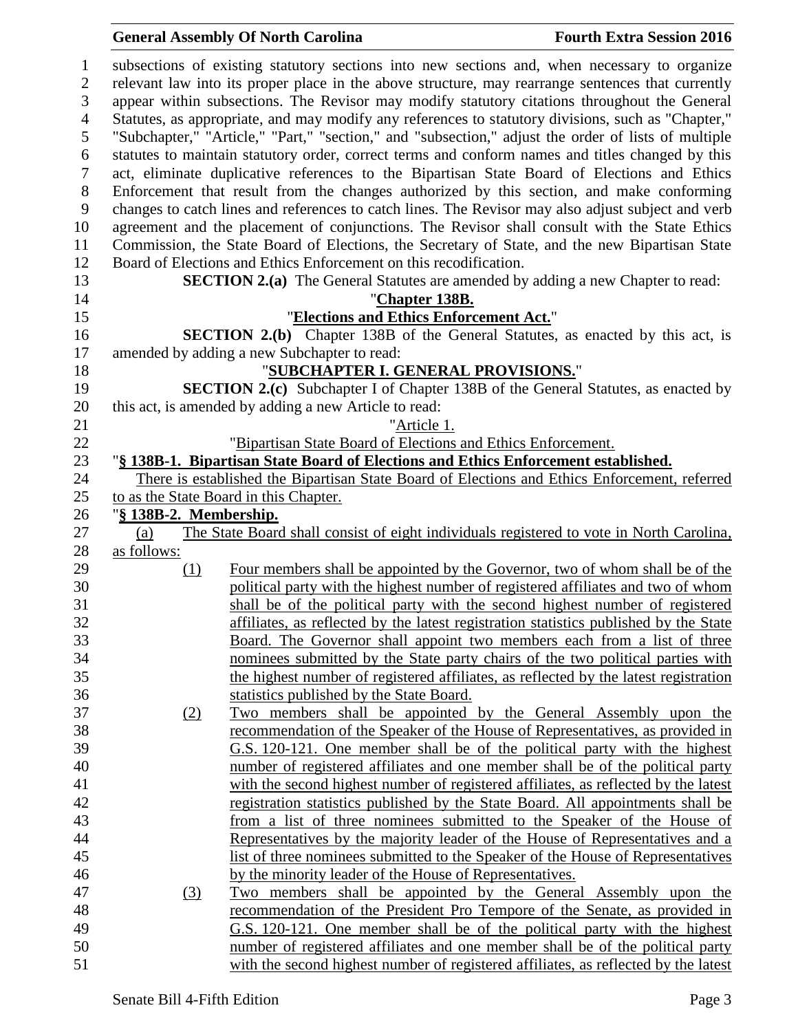| 1                |                        | subsections of existing statutory sections into new sections and, when necessary to organize        |
|------------------|------------------------|-----------------------------------------------------------------------------------------------------|
| $\overline{2}$   |                        | relevant law into its proper place in the above structure, may rearrange sentences that currently   |
| 3                |                        | appear within subsections. The Revisor may modify statutory citations throughout the General        |
| 4                |                        | Statutes, as appropriate, and may modify any references to statutory divisions, such as "Chapter,"  |
| 5                |                        | "Subchapter," "Article," "Part," "section," and "subsection," adjust the order of lists of multiple |
| 6                |                        | statutes to maintain statutory order, correct terms and conform names and titles changed by this    |
| $\tau$           |                        | act, eliminate duplicative references to the Bipartisan State Board of Elections and Ethics         |
| $8\,$            |                        | Enforcement that result from the changes authorized by this section, and make conforming            |
| $\boldsymbol{9}$ |                        | changes to catch lines and references to catch lines. The Revisor may also adjust subject and verb  |
| 10               |                        | agreement and the placement of conjunctions. The Revisor shall consult with the State Ethics        |
| 11               |                        | Commission, the State Board of Elections, the Secretary of State, and the new Bipartisan State      |
| 12               |                        | Board of Elections and Ethics Enforcement on this recodification.                                   |
| 13               |                        | <b>SECTION 2.(a)</b> The General Statutes are amended by adding a new Chapter to read:              |
| 14               |                        | "Chapter 138B.                                                                                      |
| 15               |                        | "Elections and Ethics Enforcement Act."                                                             |
| 16               |                        | <b>SECTION 2.(b)</b> Chapter 138B of the General Statutes, as enacted by this act, is               |
| 17               |                        | amended by adding a new Subchapter to read:                                                         |
| 18               |                        | "SUBCHAPTER I. GENERAL PROVISIONS."                                                                 |
| 19               |                        | <b>SECTION 2.(c)</b> Subchapter I of Chapter 138B of the General Statutes, as enacted by            |
| 20               |                        | this act, is amended by adding a new Article to read:                                               |
|                  |                        |                                                                                                     |
| 21               |                        | "Article 1.                                                                                         |
| 22               |                        | "Bipartisan State Board of Elections and Ethics Enforcement.                                        |
| 23               |                        | "§ 138B-1. Bipartisan State Board of Elections and Ethics Enforcement established.                  |
| 24               |                        | There is established the Bipartisan State Board of Elections and Ethics Enforcement, referred       |
| 25               |                        | to as the State Board in this Chapter.                                                              |
| 26               | "§ 138B-2. Membership. |                                                                                                     |
| 27               | (a)                    | The State Board shall consist of eight individuals registered to vote in North Carolina,            |
| 28               | as follows:            |                                                                                                     |
| 29               | (1)                    | Four members shall be appointed by the Governor, two of whom shall be of the                        |
| 30               |                        | political party with the highest number of registered affiliates and two of whom                    |
| 31               |                        | shall be of the political party with the second highest number of registered                        |
| 32               |                        | affiliates, as reflected by the latest registration statistics published by the State               |
| 33               |                        | Board. The Governor shall appoint two members each from a list of three                             |
| 34               |                        | nominees submitted by the State party chairs of the two political parties with                      |
| 35               |                        | the highest number of registered affiliates, as reflected by the latest registration                |
| 36               |                        | statistics published by the State Board.                                                            |
| 37               | (2)                    | Two members shall be appointed by the General Assembly upon the                                     |
| 38               |                        | recommendation of the Speaker of the House of Representatives, as provided in                       |
| 39               |                        | G.S. 120-121. One member shall be of the political party with the highest                           |
| 40               |                        | number of registered affiliates and one member shall be of the political party                      |
| 41               |                        | with the second highest number of registered affiliates, as reflected by the latest                 |
| 42               |                        | registration statistics published by the State Board. All appointments shall be                     |
| 43               |                        | from a list of three nominees submitted to the Speaker of the House of                              |
| 44               |                        | Representatives by the majority leader of the House of Representatives and a                        |
| 45               |                        | list of three nominees submitted to the Speaker of the House of Representatives                     |
| 46               |                        | by the minority leader of the House of Representatives.                                             |
| 47               | (3)                    | Two members shall be appointed by the General Assembly upon the                                     |
| 48               |                        | recommendation of the President Pro Tempore of the Senate, as provided in                           |
| 49               |                        | G.S. 120-121. One member shall be of the political party with the highest                           |
| 50               |                        | number of registered affiliates and one member shall be of the political party                      |
| 51               |                        | with the second highest number of registered affiliates, as reflected by the latest                 |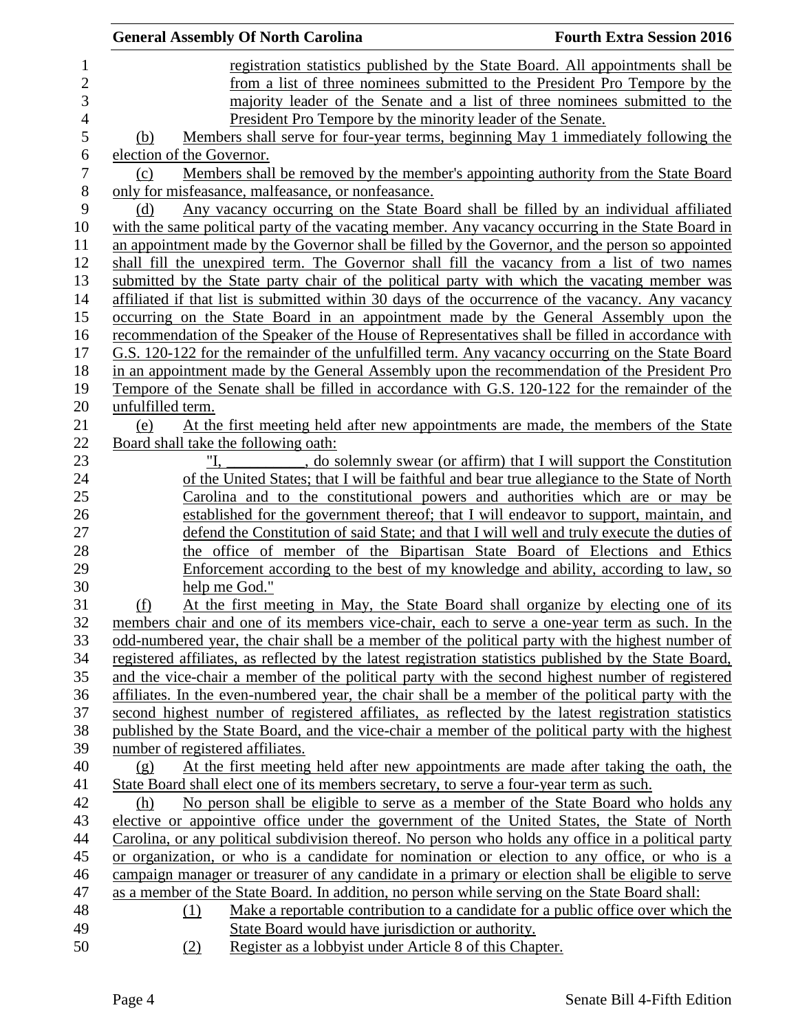|                | <b>General Assembly Of North Carolina</b>                                                                                                                                                             | <b>Fourth Extra Session 2016</b> |
|----------------|-------------------------------------------------------------------------------------------------------------------------------------------------------------------------------------------------------|----------------------------------|
| $\mathbf{1}$   | registration statistics published by the State Board. All appointments shall be                                                                                                                       |                                  |
| $\mathbf{2}$   | from a list of three nominees submitted to the President Pro Tempore by the                                                                                                                           |                                  |
| 3              | majority leader of the Senate and a list of three nominees submitted to the                                                                                                                           |                                  |
| $\overline{4}$ | President Pro Tempore by the minority leader of the Senate.                                                                                                                                           |                                  |
| 5              | Members shall serve for four-year terms, beginning May 1 immediately following the<br>(b)                                                                                                             |                                  |
| 6              | election of the Governor.                                                                                                                                                                             |                                  |
| 7              | Members shall be removed by the member's appointing authority from the State Board<br>(c)                                                                                                             |                                  |
| 8              | only for misfeasance, malfeasance, or nonfeasance.                                                                                                                                                    |                                  |
| 9              | Any vacancy occurring on the State Board shall be filled by an individual affiliated<br>(d)                                                                                                           |                                  |
| 10             | with the same political party of the vacating member. Any vacancy occurring in the State Board in                                                                                                     |                                  |
| 11             | an appointment made by the Governor shall be filled by the Governor, and the person so appointed                                                                                                      |                                  |
| 12             | shall fill the unexpired term. The Governor shall fill the vacancy from a list of two names                                                                                                           |                                  |
| 13             | submitted by the State party chair of the political party with which the vacating member was                                                                                                          |                                  |
| 14             | affiliated if that list is submitted within 30 days of the occurrence of the vacancy. Any vacancy                                                                                                     |                                  |
| 15             | occurring on the State Board in an appointment made by the General Assembly upon the                                                                                                                  |                                  |
| 16             | recommendation of the Speaker of the House of Representatives shall be filled in accordance with                                                                                                      |                                  |
| 17             | G.S. 120-122 for the remainder of the unfulfilled term. Any vacancy occurring on the State Board                                                                                                      |                                  |
| 18             | in an appointment made by the General Assembly upon the recommendation of the President Pro                                                                                                           |                                  |
| 19             | Tempore of the Senate shall be filled in accordance with G.S. 120-122 for the remainder of the                                                                                                        |                                  |
| 20             | unfulfilled term.                                                                                                                                                                                     |                                  |
| 21             | At the first meeting held after new appointments are made, the members of the State<br>(e)                                                                                                            |                                  |
| 22             | Board shall take the following oath:                                                                                                                                                                  |                                  |
| 23             | "I.<br>, do solemnly swear (or affirm) that I will support the Constitution                                                                                                                           |                                  |
| 24             | of the United States; that I will be faithful and bear true allegiance to the State of North                                                                                                          |                                  |
| 25             | Carolina and to the constitutional powers and authorities which are or may be                                                                                                                         |                                  |
| 26             | established for the government thereof; that I will endeavor to support, maintain, and                                                                                                                |                                  |
| 27             | defend the Constitution of said State; and that I will well and truly execute the duties of                                                                                                           |                                  |
| 28             | the office of member of the Bipartisan State Board of Elections and Ethics                                                                                                                            |                                  |
| 29             | Enforcement according to the best of my knowledge and ability, according to law, so                                                                                                                   |                                  |
| 30             | help me God."                                                                                                                                                                                         |                                  |
| 31             | At the first meeting in May, the State Board shall organize by electing one of its<br>(f)                                                                                                             |                                  |
| 32             | members chair and one of its members vice-chair, each to serve a one-year term as such. In the                                                                                                        |                                  |
| 33             | odd-numbered year, the chair shall be a member of the political party with the highest number of                                                                                                      |                                  |
| 34<br>35       | registered affiliates, as reflected by the latest registration statistics published by the State Board,                                                                                               |                                  |
| 36             | and the vice-chair a member of the political party with the second highest number of registered<br>affiliates. In the even-numbered year, the chair shall be a member of the political party with the |                                  |
| 37             | second highest number of registered affiliates, as reflected by the latest registration statistics                                                                                                    |                                  |
| 38             | published by the State Board, and the vice-chair a member of the political party with the highest                                                                                                     |                                  |
| 39             | number of registered affiliates.                                                                                                                                                                      |                                  |
| 40             | At the first meeting held after new appointments are made after taking the oath, the<br>(g)                                                                                                           |                                  |
| 41             | State Board shall elect one of its members secretary, to serve a four-year term as such.                                                                                                              |                                  |
| 42             | No person shall be eligible to serve as a member of the State Board who holds any<br><u>(h)</u>                                                                                                       |                                  |
| 43             | elective or appointive office under the government of the United States, the State of North                                                                                                           |                                  |
| 44             | Carolina, or any political subdivision thereof. No person who holds any office in a political party                                                                                                   |                                  |
| 45             | or organization, or who is a candidate for nomination or election to any office, or who is a                                                                                                          |                                  |
| 46             | campaign manager or treasurer of any candidate in a primary or election shall be eligible to serve                                                                                                    |                                  |
| 47             | as a member of the State Board. In addition, no person while serving on the State Board shall:                                                                                                        |                                  |
| 48             | Make a reportable contribution to a candidate for a public office over which the<br>(1)                                                                                                               |                                  |
| 49             | State Board would have jurisdiction or authority.                                                                                                                                                     |                                  |
| 50             | Register as a lobby ist under Article 8 of this Chapter.<br>(2)                                                                                                                                       |                                  |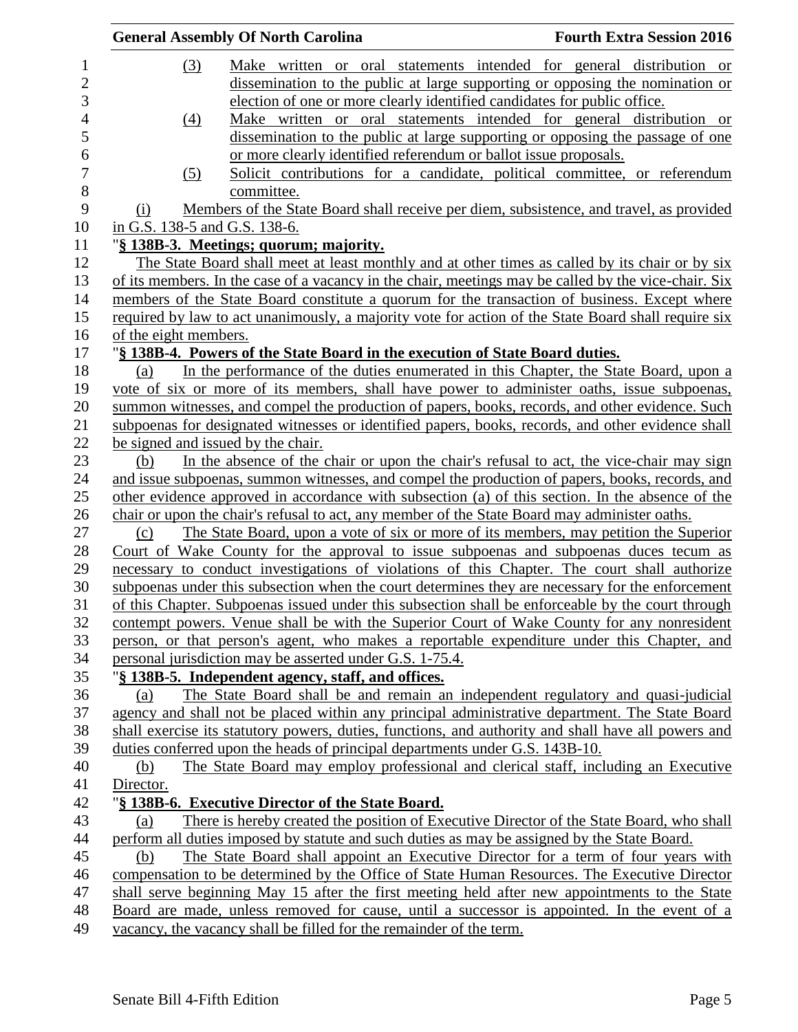|                |                                    | <b>General Assembly Of North Carolina</b>                                                            | <b>Fourth Extra Session 2016</b> |
|----------------|------------------------------------|------------------------------------------------------------------------------------------------------|----------------------------------|
| $\mathbf{1}$   | (3)                                | Make written or oral statements intended for general distribution or                                 |                                  |
| $\overline{c}$ |                                    | dissemination to the public at large supporting or opposing the nomination or                        |                                  |
| 3              |                                    | election of one or more clearly identified candidates for public office.                             |                                  |
| 4              | (4)                                | Make written or oral statements intended for general distribution or                                 |                                  |
| 5              |                                    | dissemination to the public at large supporting or opposing the passage of one                       |                                  |
| 6              |                                    | or more clearly identified referendum or ballot issue proposals.                                     |                                  |
| $\overline{7}$ | (5)                                | Solicit contributions for a candidate, political committee, or referendum                            |                                  |
| 8              |                                    | committee.                                                                                           |                                  |
| 9              | (i)                                | Members of the State Board shall receive per diem, subsistence, and travel, as provided              |                                  |
| 10             | in G.S. 138-5 and G.S. 138-6.      |                                                                                                      |                                  |
| 11             |                                    | "§ 138B-3. Meetings; quorum; majority.                                                               |                                  |
| 12             |                                    | The State Board shall meet at least monthly and at other times as called by its chair or by six      |                                  |
| 13             |                                    | of its members. In the case of a vacancy in the chair, meetings may be called by the vice-chair. Six |                                  |
| 14             |                                    | members of the State Board constitute a quorum for the transaction of business. Except where         |                                  |
| 15             |                                    | required by law to act unanimously, a majority vote for action of the State Board shall require six  |                                  |
| 16             | of the eight members.              |                                                                                                      |                                  |
| 17             |                                    | "§ 138B-4. Powers of the State Board in the execution of State Board duties.                         |                                  |
| 18             | (a)                                | In the performance of the duties enumerated in this Chapter, the State Board, upon a                 |                                  |
| 19             |                                    | vote of six or more of its members, shall have power to administer oaths, issue subpoenas,           |                                  |
| 20             |                                    | summon witnesses, and compel the production of papers, books, records, and other evidence. Such      |                                  |
| 21             |                                    | subpoenas for designated witnesses or identified papers, books, records, and other evidence shall    |                                  |
| 22             | be signed and issued by the chair. |                                                                                                      |                                  |
| 23             | (b)                                | In the absence of the chair or upon the chair's refusal to act, the vice-chair may sign              |                                  |
| 24             |                                    | and issue subpoenas, summon witnesses, and compel the production of papers, books, records, and      |                                  |
| 25             |                                    | other evidence approved in accordance with subsection (a) of this section. In the absence of the     |                                  |
| 26             |                                    | chair or upon the chair's refusal to act, any member of the State Board may administer oaths.        |                                  |
| 27             | (c)                                | The State Board, upon a vote of six or more of its members, may petition the Superior                |                                  |
| 28             |                                    | Court of Wake County for the approval to issue subpoenas and subpoenas duces tecum as                |                                  |
| 29             |                                    | necessary to conduct investigations of violations of this Chapter. The court shall authorize         |                                  |
| 30             |                                    | subpoenas under this subsection when the court determines they are necessary for the enforcement     |                                  |
| 31             |                                    | of this Chapter. Subpoenas issued under this subsection shall be enforceable by the court through    |                                  |
| 32             |                                    | contempt powers. Venue shall be with the Superior Court of Wake County for any nonresident           |                                  |
| 33             |                                    | person, or that person's agent, who makes a reportable expenditure under this Chapter, and           |                                  |
| 34             |                                    | personal jurisdiction may be asserted under G.S. 1-75.4.                                             |                                  |
| 35             |                                    | "§ 138B-5. Independent agency, staff, and offices.                                                   |                                  |
| 36             | (a)                                | The State Board shall be and remain an independent regulatory and quasi-judicial                     |                                  |
| 37             |                                    | agency and shall not be placed within any principal administrative department. The State Board       |                                  |
| 38             |                                    | shall exercise its statutory powers, duties, functions, and authority and shall have all powers and  |                                  |
| 39             |                                    | duties conferred upon the heads of principal departments under G.S. 143B-10.                         |                                  |
| 40             | (b)                                | The State Board may employ professional and clerical staff, including an Executive                   |                                  |
| 41             | Director.                          |                                                                                                      |                                  |
| 42             |                                    | "§ 138B-6. Executive Director of the State Board.                                                    |                                  |
| 43             | (a)                                | There is hereby created the position of Executive Director of the State Board, who shall             |                                  |
| 44             |                                    | perform all duties imposed by statute and such duties as may be assigned by the State Board.         |                                  |
| 45             | (b)                                | The State Board shall appoint an Executive Director for a term of four years with                    |                                  |
| 46             |                                    | compensation to be determined by the Office of State Human Resources. The Executive Director         |                                  |
| 47             |                                    | shall serve beginning May 15 after the first meeting held after new appointments to the State        |                                  |
| 48             |                                    | Board are made, unless removed for cause, until a successor is appointed. In the event of a          |                                  |
| 49             |                                    | vacancy, the vacancy shall be filled for the remainder of the term.                                  |                                  |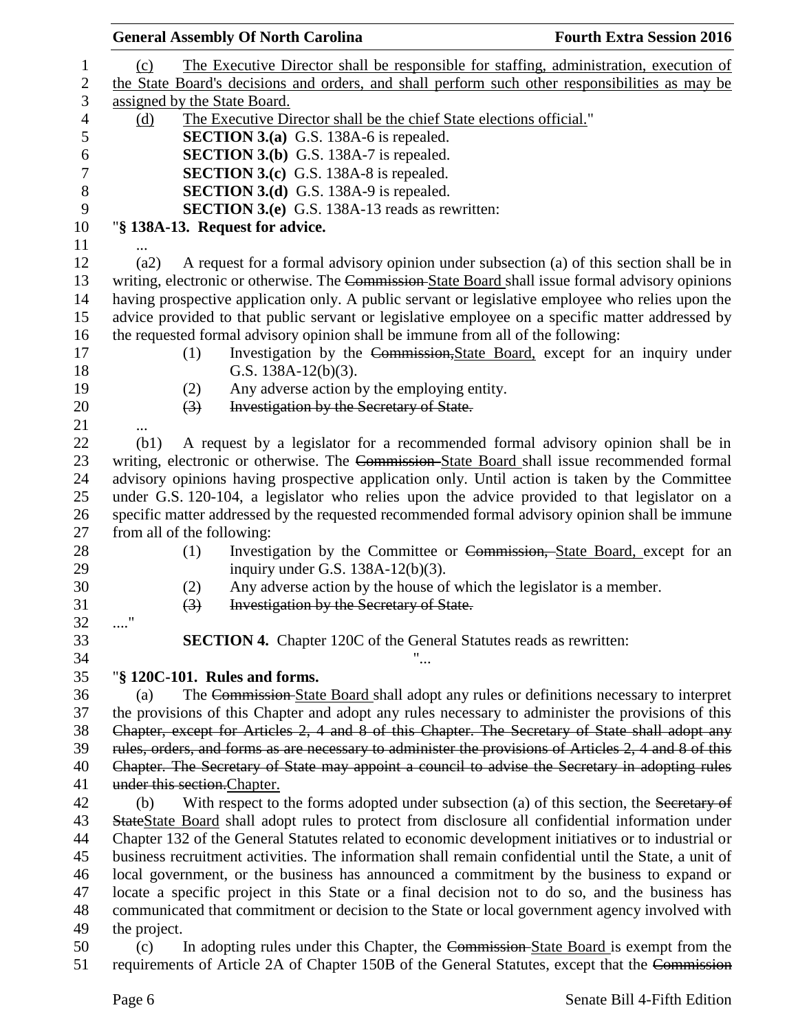|                                 | <b>General Assembly Of North Carolina</b>                                                             | <b>Fourth Extra Session 2016</b> |
|---------------------------------|-------------------------------------------------------------------------------------------------------|----------------------------------|
| (c)                             | The Executive Director shall be responsible for staffing, administration, execution of                |                                  |
|                                 | the State Board's decisions and orders, and shall perform such other responsibilities as may be       |                                  |
| assigned by the State Board.    |                                                                                                       |                                  |
| (d)                             | The Executive Director shall be the chief State elections official."                                  |                                  |
|                                 | <b>SECTION 3.(a)</b> G.S. 138A-6 is repealed.                                                         |                                  |
|                                 | <b>SECTION 3.(b)</b> G.S. 138A-7 is repealed.                                                         |                                  |
|                                 | <b>SECTION 3.(c)</b> G.S. 138A-8 is repealed.                                                         |                                  |
|                                 | <b>SECTION 3.(d)</b> G.S. 138A-9 is repealed.                                                         |                                  |
|                                 | <b>SECTION 3.(e)</b> G.S. 138A-13 reads as rewritten:                                                 |                                  |
| "§ 138A-13. Request for advice. |                                                                                                       |                                  |
|                                 |                                                                                                       |                                  |
| (a2)                            | A request for a formal advisory opinion under subsection (a) of this section shall be in              |                                  |
|                                 | writing, electronic or otherwise. The Commission-State Board shall issue formal advisory opinions     |                                  |
|                                 | having prospective application only. A public servant or legislative employee who relies upon the     |                                  |
|                                 | advice provided to that public servant or legislative employee on a specific matter addressed by      |                                  |
|                                 | the requested formal advisory opinion shall be immune from all of the following:                      |                                  |
| (1)                             | Investigation by the Commission, State Board, except for an inquiry under                             |                                  |
|                                 | G.S. $138A-12(b)(3)$ .                                                                                |                                  |
| (2)                             | Any adverse action by the employing entity.                                                           |                                  |
| $\left(3\right)$                | Investigation by the Secretary of State.                                                              |                                  |
|                                 |                                                                                                       |                                  |
| (b1)                            | A request by a legislator for a recommended formal advisory opinion shall be in                       |                                  |
|                                 | writing, electronic or otherwise. The Commission-State Board shall issue recommended formal           |                                  |
|                                 | advisory opinions having prospective application only. Until action is taken by the Committee         |                                  |
|                                 | under G.S. 120-104, a legislator who relies upon the advice provided to that legislator on a          |                                  |
|                                 | specific matter addressed by the requested recommended formal advisory opinion shall be immune        |                                  |
| from all of the following:      |                                                                                                       |                                  |
| (1)                             | Investigation by the Committee or Commission, State Board, except for an                              |                                  |
|                                 | inquiry under G.S. $138A-12(b)(3)$ .                                                                  |                                  |
| (2)                             | Any adverse action by the house of which the legislator is a member.                                  |                                  |
| $\left(3\right)$                | Investigation by the Secretary of State.                                                              |                                  |
|                                 |                                                                                                       |                                  |
|                                 | <b>SECTION 4.</b> Chapter 120C of the General Statutes reads as rewritten:                            |                                  |
|                                 |                                                                                                       |                                  |
| "§ 120C-101. Rules and forms.   |                                                                                                       |                                  |
| (a)                             | The Commission-State Board shall adopt any rules or definitions necessary to interpret                |                                  |
|                                 | the provisions of this Chapter and adopt any rules necessary to administer the provisions of this     |                                  |
|                                 | Chapter, except for Articles 2, 4 and 8 of this Chapter. The Secretary of State shall adopt any       |                                  |
|                                 | rules, orders, and forms as are necessary to administer the provisions of Articles 2, 4 and 8 of this |                                  |
|                                 | Chapter. The Secretary of State may appoint a council to advise the Secretary in adopting rules       |                                  |
| under this section. Chapter.    |                                                                                                       |                                  |
| (b)                             | With respect to the forms adopted under subsection (a) of this section, the Secretary of              |                                  |
|                                 | StateState Board shall adopt rules to protect from disclosure all confidential information under      |                                  |
|                                 | Chapter 132 of the General Statutes related to economic development initiatives or to industrial or   |                                  |
|                                 | business recruitment activities. The information shall remain confidential until the State, a unit of |                                  |
|                                 | local government, or the business has announced a commitment by the business to expand or             |                                  |
|                                 | locate a specific project in this State or a final decision not to do so, and the business has        |                                  |
|                                 | communicated that commitment or decision to the State or local government agency involved with        |                                  |
| the project.                    |                                                                                                       |                                  |
| (c)                             | In adopting rules under this Chapter, the Commission-State Board is exempt from the                   |                                  |
|                                 | requirements of Article 2A of Chapter 150B of the General Statutes, except that the Commission        |                                  |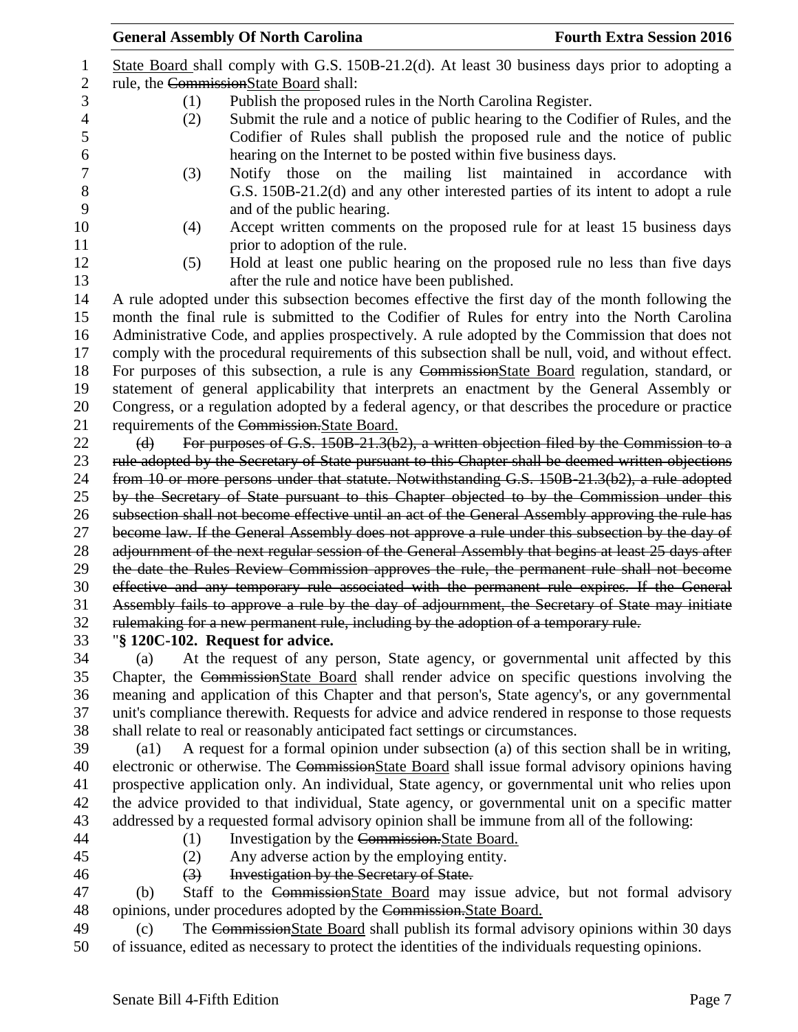|                |                                        | <b>General Assembly Of North Carolina</b>                                           | <b>Fourth Extra Session 2016</b>                                                                    |
|----------------|----------------------------------------|-------------------------------------------------------------------------------------|-----------------------------------------------------------------------------------------------------|
| 1              |                                        |                                                                                     | State Board shall comply with G.S. 150B-21.2(d). At least 30 business days prior to adopting a      |
| $\overline{2}$ | rule, the CommissionState Board shall: |                                                                                     |                                                                                                     |
| 3              | (1)                                    | Publish the proposed rules in the North Carolina Register.                          |                                                                                                     |
| 4              | (2)                                    |                                                                                     | Submit the rule and a notice of public hearing to the Codifier of Rules, and the                    |
| 5              |                                        |                                                                                     | Codifier of Rules shall publish the proposed rule and the notice of public                          |
| 6              |                                        | hearing on the Internet to be posted within five business days.                     |                                                                                                     |
| 7              | (3)                                    | Notify those on the mailing list maintained in accordance                           | with                                                                                                |
| 8              |                                        |                                                                                     | G.S. 150B-21.2(d) and any other interested parties of its intent to adopt a rule                    |
| 9              |                                        | and of the public hearing.                                                          |                                                                                                     |
| 10             | (4)                                    |                                                                                     | Accept written comments on the proposed rule for at least 15 business days                          |
| 11             |                                        | prior to adoption of the rule.                                                      |                                                                                                     |
| 12             | (5)                                    |                                                                                     | Hold at least one public hearing on the proposed rule no less than five days                        |
| 13             |                                        | after the rule and notice have been published.                                      |                                                                                                     |
| 14             |                                        |                                                                                     | A rule adopted under this subsection becomes effective the first day of the month following the     |
| 15             |                                        |                                                                                     | month the final rule is submitted to the Codifier of Rules for entry into the North Carolina        |
| 16             |                                        |                                                                                     | Administrative Code, and applies prospectively. A rule adopted by the Commission that does not      |
| 17             |                                        |                                                                                     | comply with the procedural requirements of this subsection shall be null, void, and without effect. |
| 18             |                                        |                                                                                     | For purposes of this subsection, a rule is any CommissionState Board regulation, standard, or       |
| 19             |                                        |                                                                                     | statement of general applicability that interprets an enactment by the General Assembly or          |
| 20             |                                        |                                                                                     | Congress, or a regulation adopted by a federal agency, or that describes the procedure or practice  |
| 21             |                                        | requirements of the Commission. State Board.                                        |                                                                                                     |
| 22             | $\Theta$                               |                                                                                     | For purposes of G.S. 150B-21.3(b2), a written objection filed by the Commission to a                |
| 23             |                                        |                                                                                     | rule adopted by the Secretary of State pursuant to this Chapter shall be deemed written objections  |
| 24             |                                        |                                                                                     | from 10 or more persons under that statute. Notwithstanding G.S. 150B-21.3(b2), a rule adopted      |
| 25             |                                        |                                                                                     | by the Secretary of State pursuant to this Chapter objected to by the Commission under this         |
| 26             |                                        |                                                                                     | subsection shall not become effective until an act of the General Assembly approving the rule has   |
| 27             |                                        |                                                                                     | become law. If the General Assembly does not approve a rule under this subsection by the day of     |
| 28             |                                        |                                                                                     | adjournment of the next regular session of the General Assembly that begins at least 25 days after  |
| 29             |                                        |                                                                                     | the date the Rules Review Commission approves the rule, the permanent rule shall not become         |
| 30             |                                        |                                                                                     | effective and any temporary rule associated with the permanent rule expires. If the General         |
| 31             |                                        |                                                                                     | Assembly fails to approve a rule by the day of adjournment, the Secretary of State may initiate     |
| 32             |                                        | rulemaking for a new permanent rule, including by the adoption of a temporary rule. |                                                                                                     |
| 33             |                                        | "§ 120C-102. Request for advice.                                                    |                                                                                                     |
| 34             | (a)                                    |                                                                                     | At the request of any person, State agency, or governmental unit affected by this                   |
| 35             |                                        |                                                                                     | Chapter, the CommissionState Board shall render advice on specific questions involving the          |

35 Chapter, the CommissionState Board shall render advice on specific questions involving the meaning and application of this Chapter and that person's, State agency's, or any governmental unit's compliance therewith. Requests for advice and advice rendered in response to those requests shall relate to real or reasonably anticipated fact settings or circumstances.

 (a1) A request for a formal opinion under subsection (a) of this section shall be in writing, 40 electronic or otherwise. The CommissionState Board shall issue formal advisory opinions having prospective application only. An individual, State agency, or governmental unit who relies upon the advice provided to that individual, State agency, or governmental unit on a specific matter addressed by a requested formal advisory opinion shall be immune from all of the following:

- 
- (1) Investigation by the Commission.State Board.
	- (2) Any adverse action by the employing entity.
- 
- (3) Investigation by the Secretary of State.

 (b) Staff to the CommissionState Board may issue advice, but not formal advisory 48 opinions, under procedures adopted by the Commission. State Board.

49 (c) The Commission State Board shall publish its formal advisory opinions within 30 days of issuance, edited as necessary to protect the identities of the individuals requesting opinions.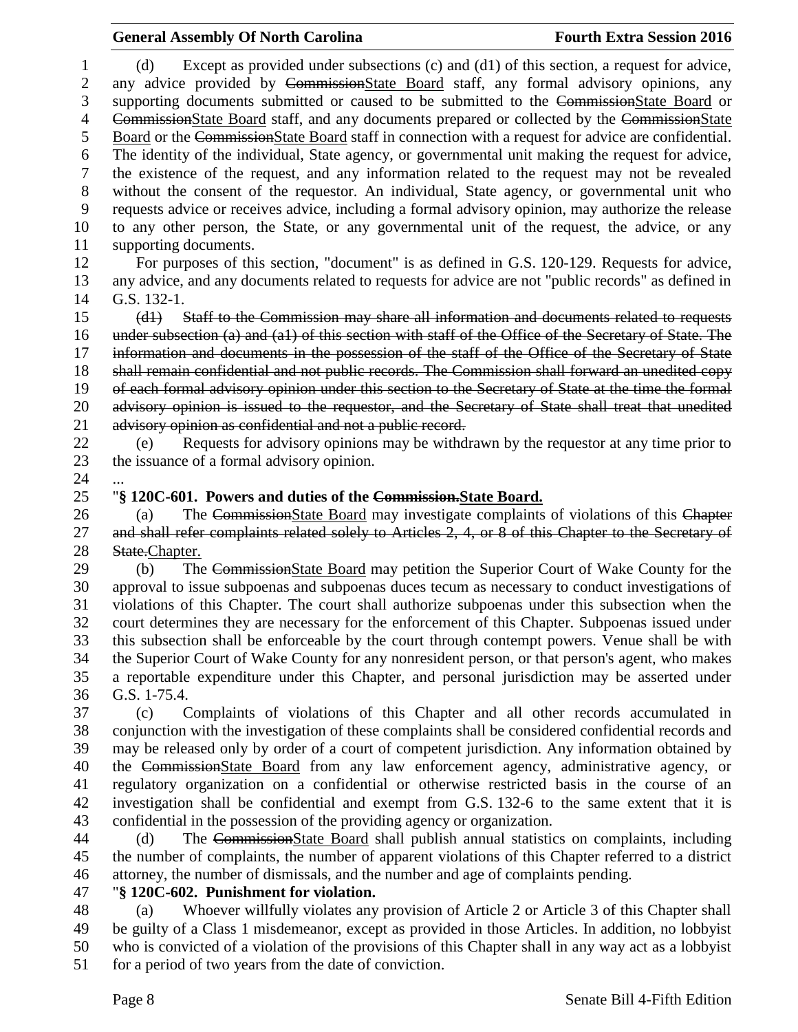(d) Except as provided under subsections (c) and (d1) of this section, a request for advice, any advice provided by CommissionState Board staff, any formal advisory opinions, any 3 supporting documents submitted or caused to be submitted to the CommissionState Board or CommissionState Board staff, and any documents prepared or collected by the CommissionState Board or the CommissionState Board staff in connection with a request for advice are confidential. The identity of the individual, State agency, or governmental unit making the request for advice, the existence of the request, and any information related to the request may not be revealed without the consent of the requestor. An individual, State agency, or governmental unit who requests advice or receives advice, including a formal advisory opinion, may authorize the release to any other person, the State, or any governmental unit of the request, the advice, or any supporting documents. For purposes of this section, "document" is as defined in G.S. 120-129. Requests for advice, any advice, and any documents related to requests for advice are not "public records" as defined in G.S. 132-1. (d1) Staff to the Commission may share all information and documents related to requests under subsection (a) and (a1) of this section with staff of the Office of the Secretary of State. The 17 information and documents in the possession of the staff of the Office of the Secretary of State shall remain confidential and not public records. The Commission shall forward an unedited copy of each formal advisory opinion under this section to the Secretary of State at the time the formal advisory opinion is issued to the requestor, and the Secretary of State shall treat that unedited 21 advisory opinion as confidential and not a public record. (e) Requests for advisory opinions may be withdrawn by the requestor at any time prior to the issuance of a formal advisory opinion. "**§ 120C-601. Powers and duties of the Commission.State Board.** 26 (a) The CommissionState Board may investigate complaints of violations of this Chapter 27 and shall refer complaints related solely to Articles 2, 4, or 8 of this Chapter to the Secretary of 28 State.Chapter. (b) The CommissionState Board may petition the Superior Court of Wake County for the approval to issue subpoenas and subpoenas duces tecum as necessary to conduct investigations of violations of this Chapter. The court shall authorize subpoenas under this subsection when the court determines they are necessary for the enforcement of this Chapter. Subpoenas issued under this subsection shall be enforceable by the court through contempt powers. Venue shall be with the Superior Court of Wake County for any nonresident person, or that person's agent, who makes a reportable expenditure under this Chapter, and personal jurisdiction may be asserted under G.S. 1-75.4. (c) Complaints of violations of this Chapter and all other records accumulated in conjunction with the investigation of these complaints shall be considered confidential records and may be released only by order of a court of competent jurisdiction. Any information obtained by the CommissionState Board from any law enforcement agency, administrative agency, or regulatory organization on a confidential or otherwise restricted basis in the course of an investigation shall be confidential and exempt from G.S. 132-6 to the same extent that it is confidential in the possession of the providing agency or organization. (d) The CommissionState Board shall publish annual statistics on complaints, including the number of complaints, the number of apparent violations of this Chapter referred to a district

attorney, the number of dismissals, and the number and age of complaints pending.

"**§ 120C-602. Punishment for violation.**

 (a) Whoever willfully violates any provision of Article 2 or Article 3 of this Chapter shall be guilty of a Class 1 misdemeanor, except as provided in those Articles. In addition, no lobbyist who is convicted of a violation of the provisions of this Chapter shall in any way act as a lobbyist for a period of two years from the date of conviction.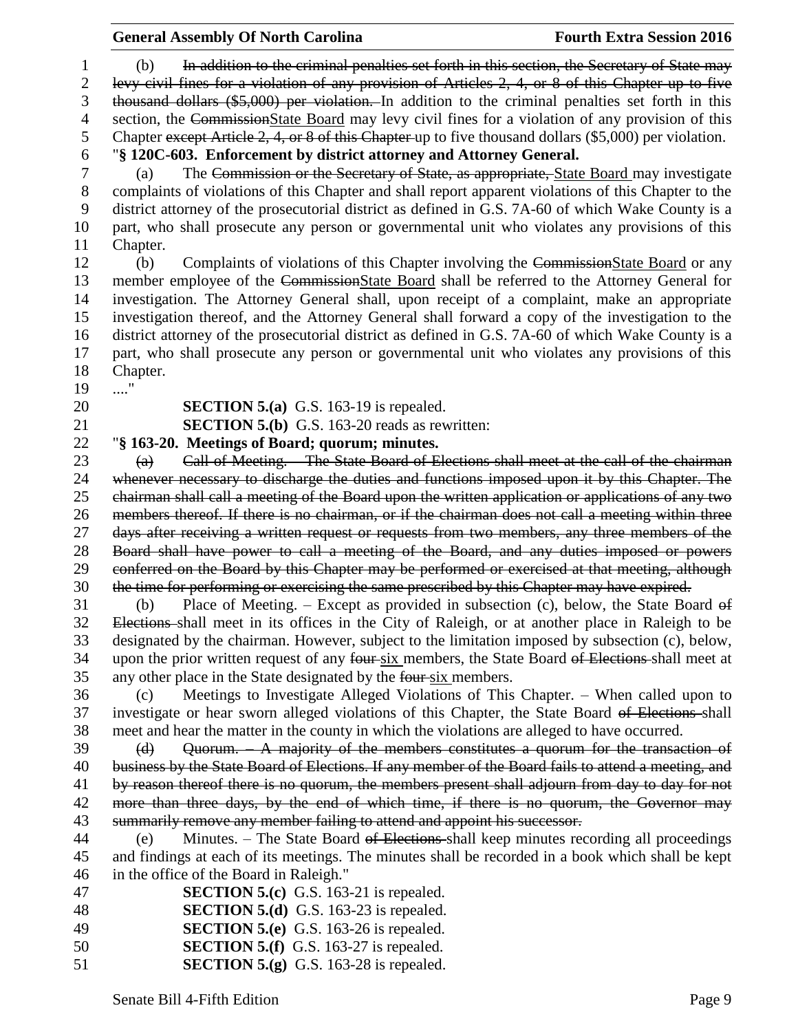(b) In addition to the criminal penalties set forth in this section, the Secretary of State may levy civil fines for a violation of any provision of Articles 2, 4, or 8 of this Chapter up to five thousand dollars (\$5,000) per violation. In addition to the criminal penalties set forth in this 4 section, the CommissionState Board may levy civil fines for a violation of any provision of this Chapter except Article 2, 4, or 8 of this Chapter up to five thousand dollars (\$5,000) per violation. "**§ 120C-603. Enforcement by district attorney and Attorney General.**

 (a) The Commission or the Secretary of State, as appropriate, State Board may investigate complaints of violations of this Chapter and shall report apparent violations of this Chapter to the district attorney of the prosecutorial district as defined in G.S. 7A-60 of which Wake County is a part, who shall prosecute any person or governmental unit who violates any provisions of this Chapter.

 (b) Complaints of violations of this Chapter involving the CommissionState Board or any member employee of the CommissionState Board shall be referred to the Attorney General for investigation. The Attorney General shall, upon receipt of a complaint, make an appropriate investigation thereof, and the Attorney General shall forward a copy of the investigation to the district attorney of the prosecutorial district as defined in G.S. 7A-60 of which Wake County is a part, who shall prosecute any person or governmental unit who violates any provisions of this Chapter.

...."

**SECTION 5.(a)** G.S. 163-19 is repealed.

**SECTION 5.(b)** G.S. 163-20 reads as rewritten:

"**§ 163-20. Meetings of Board; quorum; minutes.**

 (a) Call of Meeting. – The State Board of Elections shall meet at the call of the chairman whenever necessary to discharge the duties and functions imposed upon it by this Chapter. The chairman shall call a meeting of the Board upon the written application or applications of any two members thereof. If there is no chairman, or if the chairman does not call a meeting within three 27 days after receiving a written request or requests from two members, any three members of the Board shall have power to call a meeting of the Board, and any duties imposed or powers conferred on the Board by this Chapter may be performed or exercised at that meeting, although the time for performing or exercising the same prescribed by this Chapter may have expired.

 (b) Place of Meeting. – Except as provided in subsection (c), below, the State Board of Elections shall meet in its offices in the City of Raleigh, or at another place in Raleigh to be designated by the chairman. However, subject to the limitation imposed by subsection (c), below, 34 upon the prior written request of any four-six members, the State Board of Elections-shall meet at any other place in the State designated by the four six members.

 (c) Meetings to Investigate Alleged Violations of This Chapter. – When called upon to investigate or hear sworn alleged violations of this Chapter, the State Board of Elections shall meet and hear the matter in the county in which the violations are alleged to have occurred.

39 (d) Quorum. A majority of the members constitutes a quorum for the transaction of business by the State Board of Elections. If any member of the Board fails to attend a meeting, and by reason thereof there is no quorum, the members present shall adjourn from day to day for not 42 more than three days, by the end of which time, if there is no quorum, the Governor may summarily remove any member failing to attend and appoint his successor.

 (e) Minutes. – The State Board of Elections shall keep minutes recording all proceedings and findings at each of its meetings. The minutes shall be recorded in a book which shall be kept in the office of the Board in Raleigh."

| <b>SECTION 5.(c)</b> G.S. 163-21 is repealed.<br>47 |  |
|-----------------------------------------------------|--|
|-----------------------------------------------------|--|

- **SECTION 5.(d)** G.S. 163-23 is repealed.
- **SECTION 5.(e)** G.S. 163-26 is repealed.
- **SECTION 5.(f)** G.S. 163-27 is repealed.
- **SECTION 5.(g)** G.S. 163-28 is repealed.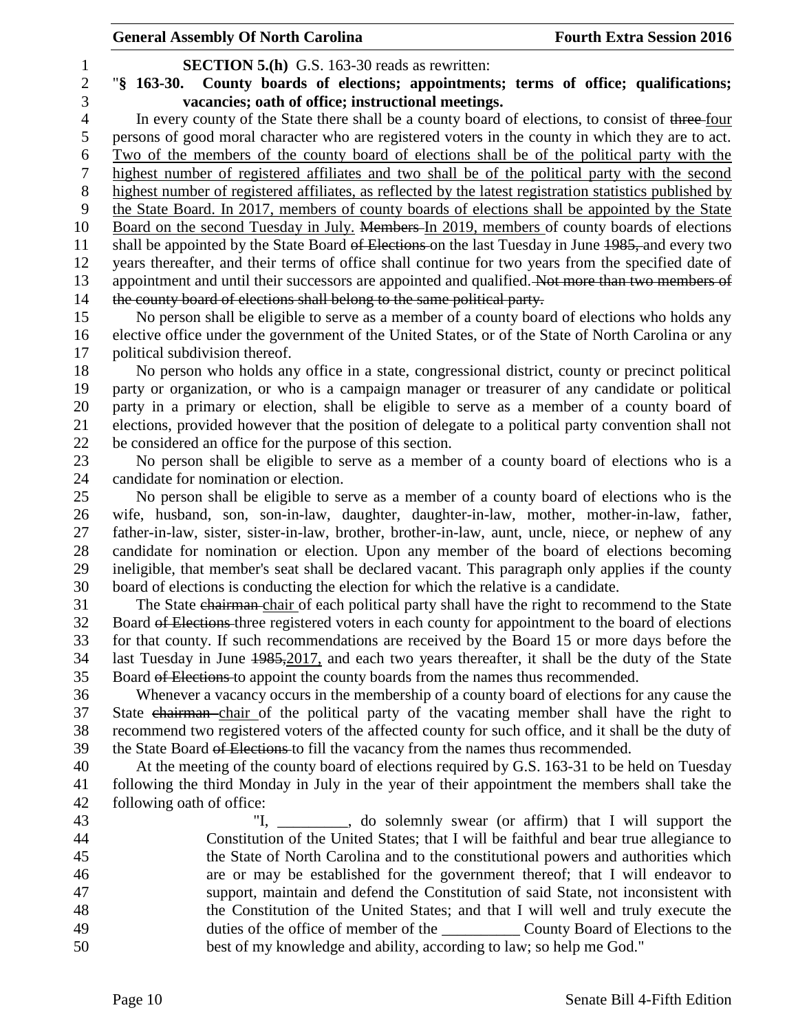|                | <b>General Assembly Of North Carolina</b>                                                                                                                                                  | <b>Fourth Extra Session 2016</b> |
|----------------|--------------------------------------------------------------------------------------------------------------------------------------------------------------------------------------------|----------------------------------|
| 1              | <b>SECTION 5.(h)</b> G.S. 163-30 reads as rewritten:                                                                                                                                       |                                  |
| $\overline{c}$ | County boards of elections; appointments; terms of office; qualifications;<br>$\frac{1}{2}$ 163-30.                                                                                        |                                  |
| 3              | vacancies; oath of office; instructional meetings.                                                                                                                                         |                                  |
| $\overline{4}$ | In every county of the State there shall be a county board of elections, to consist of three-four                                                                                          |                                  |
| 5              | persons of good moral character who are registered voters in the county in which they are to act.                                                                                          |                                  |
| 6              | Two of the members of the county board of elections shall be of the political party with the                                                                                               |                                  |
| $\tau$         | highest number of registered affiliates and two shall be of the political party with the second                                                                                            |                                  |
| $8\,$          | highest number of registered affiliates, as reflected by the latest registration statistics published by                                                                                   |                                  |
| 9              | the State Board. In 2017, members of county boards of elections shall be appointed by the State                                                                                            |                                  |
| 10             | Board on the second Tuesday in July. Members In 2019, members of county boards of elections                                                                                                |                                  |
| 11             | shall be appointed by the State Board of Elections on the last Tuesday in June 1985, and every two                                                                                         |                                  |
| 12             | years thereafter, and their terms of office shall continue for two years from the specified date of                                                                                        |                                  |
| 13             | appointment and until their successors are appointed and qualified. Not more than two members of                                                                                           |                                  |
| 14             | the county board of elections shall belong to the same political party.                                                                                                                    |                                  |
| 15             | No person shall be eligible to serve as a member of a county board of elections who holds any                                                                                              |                                  |
| 16<br>17       | elective office under the government of the United States, or of the State of North Carolina or any<br>political subdivision thereof.                                                      |                                  |
| 18             | No person who holds any office in a state, congressional district, county or precinct political                                                                                            |                                  |
| 19             | party or organization, or who is a campaign manager or treasurer of any candidate or political                                                                                             |                                  |
| 20             | party in a primary or election, shall be eligible to serve as a member of a county board of                                                                                                |                                  |
| 21             | elections, provided however that the position of delegate to a political party convention shall not                                                                                        |                                  |
| 22             | be considered an office for the purpose of this section.                                                                                                                                   |                                  |
| 23             | No person shall be eligible to serve as a member of a county board of elections who is a                                                                                                   |                                  |
| 24             | candidate for nomination or election.                                                                                                                                                      |                                  |
| 25             | No person shall be eligible to serve as a member of a county board of elections who is the                                                                                                 |                                  |
| 26             | wife, husband, son, son-in-law, daughter, daughter-in-law, mother, mother-in-law, father,                                                                                                  |                                  |
| 27             | father-in-law, sister, sister-in-law, brother, brother-in-law, aunt, uncle, niece, or nephew of any                                                                                        |                                  |
| 28             | candidate for nomination or election. Upon any member of the board of elections becoming                                                                                                   |                                  |
| 29             | ineligible, that member's seat shall be declared vacant. This paragraph only applies if the county                                                                                         |                                  |
| 30             | board of elections is conducting the election for which the relative is a candidate.                                                                                                       |                                  |
| 31             | The State chairman chair of each political party shall have the right to recommend to the State                                                                                            |                                  |
| 32             | Board of Elections three registered voters in each county for appointment to the board of elections                                                                                        |                                  |
| 33             | for that county. If such recommendations are received by the Board 15 or more days before the                                                                                              |                                  |
| 34             | last Tuesday in June 1985, 2017, and each two years thereafter, it shall be the duty of the State                                                                                          |                                  |
| 35             | Board of Elections to appoint the county boards from the names thus recommended.                                                                                                           |                                  |
| 36<br>37       | Whenever a vacancy occurs in the membership of a county board of elections for any cause the<br>State chairman chair of the political party of the vacating member shall have the right to |                                  |
| 38             | recommend two registered voters of the affected county for such office, and it shall be the duty of                                                                                        |                                  |
| 39             | the State Board of Elections to fill the vacancy from the names thus recommended.                                                                                                          |                                  |
| 40             | At the meeting of the county board of elections required by G.S. 163-31 to be held on Tuesday                                                                                              |                                  |
| 41             | following the third Monday in July in the year of their appointment the members shall take the                                                                                             |                                  |
| 42             | following oath of office:                                                                                                                                                                  |                                  |
| 43             | "I, ________, do solemnly swear (or affirm) that I will support the                                                                                                                        |                                  |
| 44             | Constitution of the United States; that I will be faithful and bear true allegiance to                                                                                                     |                                  |
| 45             | the State of North Carolina and to the constitutional powers and authorities which                                                                                                         |                                  |
| 46             | are or may be established for the government thereof; that I will endeavor to                                                                                                              |                                  |
| 47             | support, maintain and defend the Constitution of said State, not inconsistent with                                                                                                         |                                  |
| 48             | the Constitution of the United States; and that I will well and truly execute the                                                                                                          |                                  |
| 49             |                                                                                                                                                                                            |                                  |
| 50             | best of my knowledge and ability, according to law; so help me God."                                                                                                                       |                                  |
|                |                                                                                                                                                                                            |                                  |
|                |                                                                                                                                                                                            |                                  |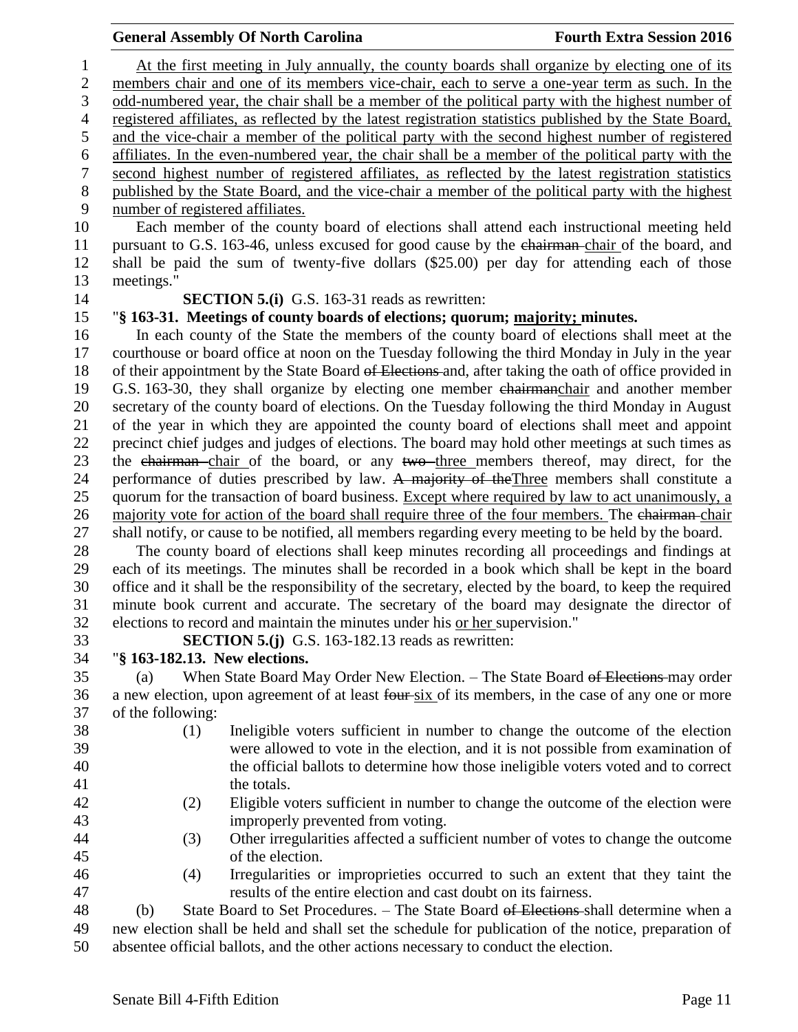At the first meeting in July annually, the county boards shall organize by electing one of its members chair and one of its members vice-chair, each to serve a one-year term as such. In the odd-numbered year, the chair shall be a member of the political party with the highest number of registered affiliates, as reflected by the latest registration statistics published by the State Board, and the vice-chair a member of the political party with the second highest number of registered affiliates. In the even-numbered year, the chair shall be a member of the political party with the second highest number of registered affiliates, as reflected by the latest registration statistics published by the State Board, and the vice-chair a member of the political party with the highest number of registered affiliates. Each member of the county board of elections shall attend each instructional meeting held pursuant to G.S. 163-46, unless excused for good cause by the chairman chair of the board, and shall be paid the sum of twenty-five dollars (\$25.00) per day for attending each of those meetings." **SECTION 5.(i)** G.S. 163-31 reads as rewritten: "**§ 163-31. Meetings of county boards of elections; quorum; majority; minutes.** In each county of the State the members of the county board of elections shall meet at the

 courthouse or board office at noon on the Tuesday following the third Monday in July in the year 18 of their appointment by the State Board of Elections and, after taking the oath of office provided in G.S. 163-30, they shall organize by electing one member chairmanchair and another member secretary of the county board of elections. On the Tuesday following the third Monday in August of the year in which they are appointed the county board of elections shall meet and appoint precinct chief judges and judges of elections. The board may hold other meetings at such times as 23 the chairman chair of the board, or any two three members thereof, may direct, for the 24 performance of duties prescribed by law. A majority of the Three members shall constitute a quorum for the transaction of board business. Except where required by law to act unanimously, a 26 majority vote for action of the board shall require three of the four members. The chairman chair shall notify, or cause to be notified, all members regarding every meeting to be held by the board.

 The county board of elections shall keep minutes recording all proceedings and findings at each of its meetings. The minutes shall be recorded in a book which shall be kept in the board office and it shall be the responsibility of the secretary, elected by the board, to keep the required minute book current and accurate. The secretary of the board may designate the director of elections to record and maintain the minutes under his or her supervision."

**SECTION 5.(j)** G.S. 163-182.13 reads as rewritten:

## "**§ 163-182.13. New elections.**

 (a) When State Board May Order New Election. – The State Board of Elections may order 36 a new election, upon agreement of at least four-six of its members, in the case of any one or more of the following:

- (1) Ineligible voters sufficient in number to change the outcome of the election were allowed to vote in the election, and it is not possible from examination of the official ballots to determine how those ineligible voters voted and to correct 41 the totals.
- (2) Eligible voters sufficient in number to change the outcome of the election were improperly prevented from voting.
- (3) Other irregularities affected a sufficient number of votes to change the outcome of the election.
- (4) Irregularities or improprieties occurred to such an extent that they taint the results of the entire election and cast doubt on its fairness.

 (b) State Board to Set Procedures. – The State Board of Elections shall determine when a new election shall be held and shall set the schedule for publication of the notice, preparation of absentee official ballots, and the other actions necessary to conduct the election.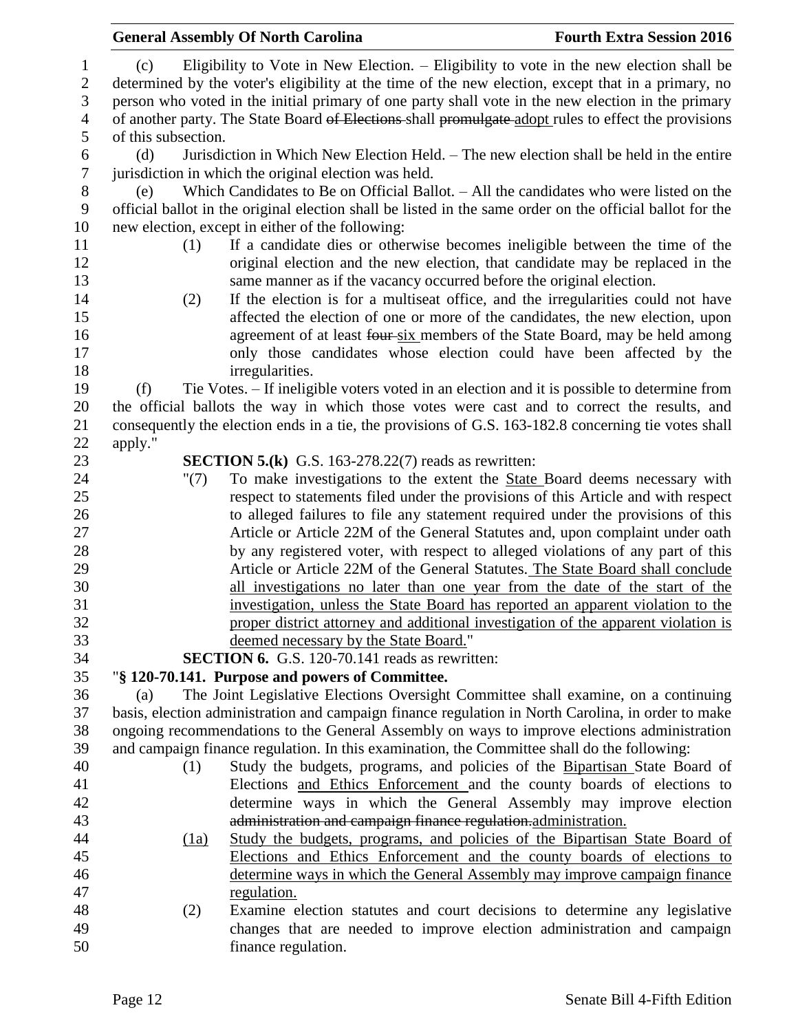|                  |                     |      | <b>General Assembly Of North Carolina</b>                                                                                                            | <b>Fourth Extra Session 2016</b> |
|------------------|---------------------|------|------------------------------------------------------------------------------------------------------------------------------------------------------|----------------------------------|
| $\mathbf{1}$     | (c)                 |      | Eligibility to Vote in New Election. - Eligibility to vote in the new election shall be                                                              |                                  |
| $\boldsymbol{2}$ |                     |      | determined by the voter's eligibility at the time of the new election, except that in a primary, no                                                  |                                  |
| 3                |                     |      | person who voted in the initial primary of one party shall vote in the new election in the primary                                                   |                                  |
| 4                |                     |      | of another party. The State Board of Elections shall promulgate adopt rules to effect the provisions                                                 |                                  |
| 5                | of this subsection. |      |                                                                                                                                                      |                                  |
| 6                | (d)                 |      | Jurisdiction in Which New Election Held. - The new election shall be held in the entire                                                              |                                  |
| $\boldsymbol{7}$ |                     |      | jurisdiction in which the original election was held.                                                                                                |                                  |
| 8                | (e)                 |      | Which Candidates to Be on Official Ballot. - All the candidates who were listed on the                                                               |                                  |
| 9                |                     |      | official ballot in the original election shall be listed in the same order on the official ballot for the                                            |                                  |
| 10               |                     |      | new election, except in either of the following:                                                                                                     |                                  |
| 11               |                     | (1)  | If a candidate dies or otherwise becomes ineligible between the time of the                                                                          |                                  |
| 12               |                     |      | original election and the new election, that candidate may be replaced in the                                                                        |                                  |
| 13               |                     |      | same manner as if the vacancy occurred before the original election.                                                                                 |                                  |
| 14               |                     | (2)  | If the election is for a multiseat office, and the irregularities could not have                                                                     |                                  |
| 15               |                     |      | affected the election of one or more of the candidates, the new election, upon                                                                       |                                  |
| 16               |                     |      | agreement of at least four-six members of the State Board, may be held among                                                                         |                                  |
| 17               |                     |      | only those candidates whose election could have been affected by the                                                                                 |                                  |
| 18               |                     |      | irregularities.                                                                                                                                      |                                  |
| 19               | (f)                 |      | Tie Votes. – If ineligible voters voted in an election and it is possible to determine from                                                          |                                  |
| 20               |                     |      | the official ballots the way in which those votes were cast and to correct the results, and                                                          |                                  |
| 21               |                     |      | consequently the election ends in a tie, the provisions of G.S. 163-182.8 concerning tie votes shall                                                 |                                  |
| 22               | apply."             |      |                                                                                                                                                      |                                  |
| 23               |                     |      | <b>SECTION 5.(k)</b> G.S. 163-278.22(7) reads as rewritten:                                                                                          |                                  |
| 24               |                     | "(7) | To make investigations to the extent the State Board deems necessary with                                                                            |                                  |
| 25               |                     |      | respect to statements filed under the provisions of this Article and with respect                                                                    |                                  |
| 26               |                     |      | to alleged failures to file any statement required under the provisions of this                                                                      |                                  |
| 27               |                     |      | Article or Article 22M of the General Statutes and, upon complaint under oath                                                                        |                                  |
| 28               |                     |      | by any registered voter, with respect to alleged violations of any part of this                                                                      |                                  |
| 29               |                     |      | Article or Article 22M of the General Statutes. The State Board shall conclude                                                                       |                                  |
| 30               |                     |      | all investigations no later than one year from the date of the start of the                                                                          |                                  |
| 31               |                     |      | investigation, unless the State Board has reported an apparent violation to the                                                                      |                                  |
| 32               |                     |      | proper district attorney and additional investigation of the apparent violation is                                                                   |                                  |
| 33               |                     |      | deemed necessary by the State Board."                                                                                                                |                                  |
| 34               |                     |      | <b>SECTION 6.</b> G.S. 120-70.141 reads as rewritten:                                                                                                |                                  |
| 35               |                     |      | "§ 120-70.141. Purpose and powers of Committee.                                                                                                      |                                  |
| 36               | (a)                 |      | The Joint Legislative Elections Oversight Committee shall examine, on a continuing                                                                   |                                  |
| 37               |                     |      | basis, election administration and campaign finance regulation in North Carolina, in order to make                                                   |                                  |
| 38               |                     |      | ongoing recommendations to the General Assembly on ways to improve elections administration                                                          |                                  |
| 39               |                     |      | and campaign finance regulation. In this examination, the Committee shall do the following:                                                          |                                  |
| 40               |                     | (1)  | Study the budgets, programs, and policies of the Bipartisan State Board of                                                                           |                                  |
| 41               |                     |      | Elections and Ethics Enforcement and the county boards of elections to                                                                               |                                  |
| 42<br>43         |                     |      | determine ways in which the General Assembly may improve election                                                                                    |                                  |
| 44               |                     |      | administration and campaign finance regulation-administration.                                                                                       |                                  |
| 45               |                     | (1a) | Study the budgets, programs, and policies of the Bipartisan State Board of<br>Elections and Ethics Enforcement and the county boards of elections to |                                  |
| 46               |                     |      | determine ways in which the General Assembly may improve campaign finance                                                                            |                                  |
| 47               |                     |      | regulation.                                                                                                                                          |                                  |
| 48               |                     | (2)  | Examine election statutes and court decisions to determine any legislative                                                                           |                                  |
| 49               |                     |      | changes that are needed to improve election administration and campaign                                                                              |                                  |
| 50               |                     |      | finance regulation.                                                                                                                                  |                                  |
|                  |                     |      |                                                                                                                                                      |                                  |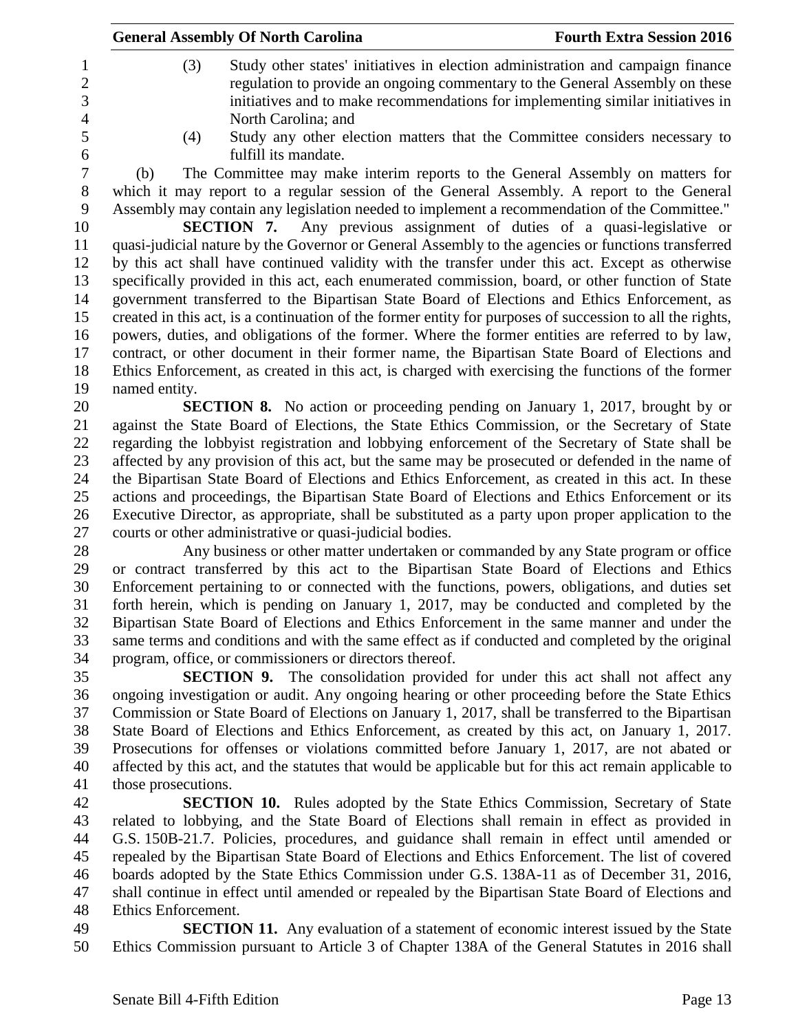| <b>Fourth Extra Session 2016</b><br><b>General Assembly Of North Carolina</b>                                                                                                                                                                                                    |
|----------------------------------------------------------------------------------------------------------------------------------------------------------------------------------------------------------------------------------------------------------------------------------|
| (3)<br>Study other states' initiatives in election administration and campaign finance<br>regulation to provide an ongoing commentary to the General Assembly on these<br>initiatives and to make recommendations for implementing similar initiatives in<br>North Carolina; and |
| Study any other election matters that the Committee considers necessary to<br>(4)                                                                                                                                                                                                |
| fulfill its mandate.                                                                                                                                                                                                                                                             |
| The Committee may make interim reports to the General Assembly on matters for<br>(b)                                                                                                                                                                                             |
| which it may report to a regular session of the General Assembly. A report to the General                                                                                                                                                                                        |
| Assembly may contain any legislation needed to implement a recommendation of the Committee."                                                                                                                                                                                     |
| <b>SECTION 7.</b> Any previous assignment of duties of a quasi-legislative or                                                                                                                                                                                                    |
| quasi-judicial nature by the Governor or General Assembly to the agencies or functions transferred                                                                                                                                                                               |
| by this act shall have continued validity with the transfer under this act. Except as otherwise                                                                                                                                                                                  |
| specifically provided in this act, each enumerated commission, board, or other function of State                                                                                                                                                                                 |
| government transferred to the Bipartisan State Board of Elections and Ethics Enforcement, as                                                                                                                                                                                     |
| created in this act, is a continuation of the former entity for purposes of succession to all the rights,                                                                                                                                                                        |
| powers, duties, and obligations of the former. Where the former entities are referred to by law,                                                                                                                                                                                 |
| contract, or other document in their former name, the Bipartisan State Board of Elections and                                                                                                                                                                                    |
| Ethics Enforcement, as created in this act, is charged with exercising the functions of the former                                                                                                                                                                               |
| named entity.                                                                                                                                                                                                                                                                    |
| <b>SECTION 8.</b> No action or proceeding pending on January 1, 2017, brought by or                                                                                                                                                                                              |
| against the State Board of Elections, the State Ethics Commission, or the Secretary of State                                                                                                                                                                                     |
| regarding the lobbyist registration and lobbying enforcement of the Secretary of State shall be                                                                                                                                                                                  |
| affected by any provision of this act, but the same may be prosecuted or defended in the name of                                                                                                                                                                                 |
| the Bipartisan State Board of Elections and Ethics Enforcement, as created in this act. In these                                                                                                                                                                                 |
| actions and proceedings, the Bipartisan State Board of Elections and Ethics Enforcement or its                                                                                                                                                                                   |
| Executive Director, as appropriate, shall be substituted as a party upon proper application to the                                                                                                                                                                               |

courts or other administrative or quasi-judicial bodies.

 Any business or other matter undertaken or commanded by any State program or office or contract transferred by this act to the Bipartisan State Board of Elections and Ethics Enforcement pertaining to or connected with the functions, powers, obligations, and duties set forth herein, which is pending on January 1, 2017, may be conducted and completed by the Bipartisan State Board of Elections and Ethics Enforcement in the same manner and under the same terms and conditions and with the same effect as if conducted and completed by the original program, office, or commissioners or directors thereof.

 **SECTION 9.** The consolidation provided for under this act shall not affect any ongoing investigation or audit. Any ongoing hearing or other proceeding before the State Ethics Commission or State Board of Elections on January 1, 2017, shall be transferred to the Bipartisan State Board of Elections and Ethics Enforcement, as created by this act, on January 1, 2017. Prosecutions for offenses or violations committed before January 1, 2017, are not abated or affected by this act, and the statutes that would be applicable but for this act remain applicable to those prosecutions.

 **SECTION 10.** Rules adopted by the State Ethics Commission, Secretary of State related to lobbying, and the State Board of Elections shall remain in effect as provided in G.S. 150B-21.7. Policies, procedures, and guidance shall remain in effect until amended or repealed by the Bipartisan State Board of Elections and Ethics Enforcement. The list of covered boards adopted by the State Ethics Commission under G.S. 138A-11 as of December 31, 2016, shall continue in effect until amended or repealed by the Bipartisan State Board of Elections and Ethics Enforcement.

 **SECTION 11.** Any evaluation of a statement of economic interest issued by the State Ethics Commission pursuant to Article 3 of Chapter 138A of the General Statutes in 2016 shall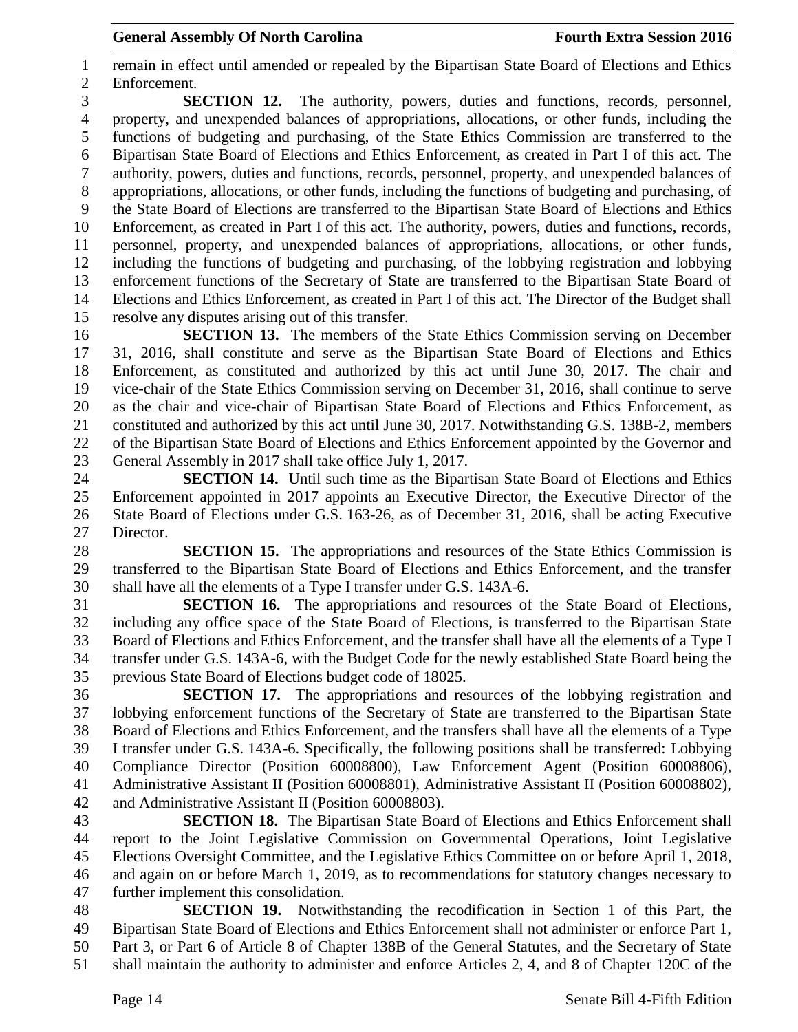remain in effect until amended or repealed by the Bipartisan State Board of Elections and Ethics Enforcement.

 **SECTION 12.** The authority, powers, duties and functions, records, personnel, property, and unexpended balances of appropriations, allocations, or other funds, including the functions of budgeting and purchasing, of the State Ethics Commission are transferred to the Bipartisan State Board of Elections and Ethics Enforcement, as created in Part I of this act. The authority, powers, duties and functions, records, personnel, property, and unexpended balances of appropriations, allocations, or other funds, including the functions of budgeting and purchasing, of the State Board of Elections are transferred to the Bipartisan State Board of Elections and Ethics Enforcement, as created in Part I of this act. The authority, powers, duties and functions, records, personnel, property, and unexpended balances of appropriations, allocations, or other funds, including the functions of budgeting and purchasing, of the lobbying registration and lobbying enforcement functions of the Secretary of State are transferred to the Bipartisan State Board of Elections and Ethics Enforcement, as created in Part I of this act. The Director of the Budget shall resolve any disputes arising out of this transfer.

 **SECTION 13.** The members of the State Ethics Commission serving on December 31, 2016, shall constitute and serve as the Bipartisan State Board of Elections and Ethics Enforcement, as constituted and authorized by this act until June 30, 2017. The chair and vice-chair of the State Ethics Commission serving on December 31, 2016, shall continue to serve as the chair and vice-chair of Bipartisan State Board of Elections and Ethics Enforcement, as constituted and authorized by this act until June 30, 2017. Notwithstanding G.S. 138B-2, members of the Bipartisan State Board of Elections and Ethics Enforcement appointed by the Governor and General Assembly in 2017 shall take office July 1, 2017.

 **SECTION 14.** Until such time as the Bipartisan State Board of Elections and Ethics Enforcement appointed in 2017 appoints an Executive Director, the Executive Director of the State Board of Elections under G.S. 163-26, as of December 31, 2016, shall be acting Executive Director.

 **SECTION 15.** The appropriations and resources of the State Ethics Commission is transferred to the Bipartisan State Board of Elections and Ethics Enforcement, and the transfer shall have all the elements of a Type I transfer under G.S. 143A-6.

 **SECTION 16.** The appropriations and resources of the State Board of Elections, including any office space of the State Board of Elections, is transferred to the Bipartisan State Board of Elections and Ethics Enforcement, and the transfer shall have all the elements of a Type I transfer under G.S. 143A-6, with the Budget Code for the newly established State Board being the previous State Board of Elections budget code of 18025.

 **SECTION 17.** The appropriations and resources of the lobbying registration and lobbying enforcement functions of the Secretary of State are transferred to the Bipartisan State Board of Elections and Ethics Enforcement, and the transfers shall have all the elements of a Type I transfer under G.S. 143A-6. Specifically, the following positions shall be transferred: Lobbying Compliance Director (Position 60008800), Law Enforcement Agent (Position 60008806), Administrative Assistant II (Position 60008801), Administrative Assistant II (Position 60008802), and Administrative Assistant II (Position 60008803).

 **SECTION 18.** The Bipartisan State Board of Elections and Ethics Enforcement shall report to the Joint Legislative Commission on Governmental Operations, Joint Legislative Elections Oversight Committee, and the Legislative Ethics Committee on or before April 1, 2018, and again on or before March 1, 2019, as to recommendations for statutory changes necessary to further implement this consolidation.

 **SECTION 19.** Notwithstanding the recodification in Section 1 of this Part, the Bipartisan State Board of Elections and Ethics Enforcement shall not administer or enforce Part 1, Part 3, or Part 6 of Article 8 of Chapter 138B of the General Statutes, and the Secretary of State shall maintain the authority to administer and enforce Articles 2, 4, and 8 of Chapter 120C of the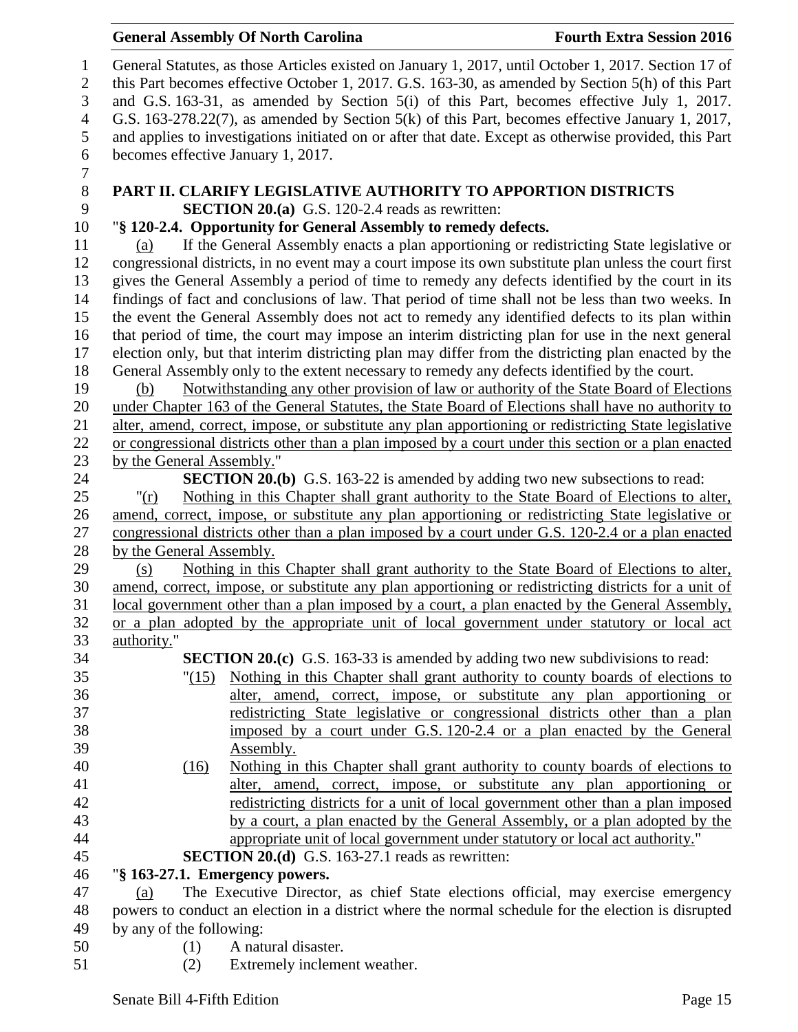General Statutes, as those Articles existed on January 1, 2017, until October 1, 2017. Section 17 of this Part becomes effective October 1, 2017. G.S. 163-30, as amended by Section 5(h) of this Part and G.S. 163-31, as amended by Section 5(i) of this Part, becomes effective July 1, 2017. G.S. 163-278.22(7), as amended by Section 5(k) of this Part, becomes effective January 1, 2017, and applies to investigations initiated on or after that date. Except as otherwise provided, this Part becomes effective January 1, 2017. **PART II. CLARIFY LEGISLATIVE AUTHORITY TO APPORTION DISTRICTS**<br>9 **SECTION 20.(a)** G.S. 120-2.4 reads as rewritten: **SECTION 20.(a)** G.S. 120-2.4 reads as rewritten: "**§ 120-2.4. Opportunity for General Assembly to remedy defects.** (a) If the General Assembly enacts a plan apportioning or redistricting State legislative or congressional districts, in no event may a court impose its own substitute plan unless the court first gives the General Assembly a period of time to remedy any defects identified by the court in its findings of fact and conclusions of law. That period of time shall not be less than two weeks. In the event the General Assembly does not act to remedy any identified defects to its plan within that period of time, the court may impose an interim districting plan for use in the next general election only, but that interim districting plan may differ from the districting plan enacted by the General Assembly only to the extent necessary to remedy any defects identified by the court. (b) Notwithstanding any other provision of law or authority of the State Board of Elections under Chapter 163 of the General Statutes, the State Board of Elections shall have no authority to alter, amend, correct, impose, or substitute any plan apportioning or redistricting State legislative or congressional districts other than a plan imposed by a court under this section or a plan enacted by the General Assembly." **SECTION 20.(b)** G.S. 163-22 is amended by adding two new subsections to read: "(r) Nothing in this Chapter shall grant authority to the State Board of Elections to alter, amend, correct, impose, or substitute any plan apportioning or redistricting State legislative or congressional districts other than a plan imposed by a court under G.S. 120-2.4 or a plan enacted by the General Assembly. (s) Nothing in this Chapter shall grant authority to the State Board of Elections to alter, amend, correct, impose, or substitute any plan apportioning or redistricting districts for a unit of local government other than a plan imposed by a court, a plan enacted by the General Assembly, or a plan adopted by the appropriate unit of local government under statutory or local act authority." **SECTION 20.(c)** G.S. 163-33 is amended by adding two new subdivisions to read: "(15) Nothing in this Chapter shall grant authority to county boards of elections to alter, amend, correct, impose, or substitute any plan apportioning or redistricting State legislative or congressional districts other than a plan imposed by a court under G.S. 120-2.4 or a plan enacted by the General Assembly. (16) Nothing in this Chapter shall grant authority to county boards of elections to alter, amend, correct, impose, or substitute any plan apportioning or redistricting districts for a unit of local government other than a plan imposed by a court, a plan enacted by the General Assembly, or a plan adopted by the appropriate unit of local government under statutory or local act authority." **SECTION 20.(d)** G.S. 163-27.1 reads as rewritten: "**§ 163-27.1. Emergency powers.** (a) The Executive Director, as chief State elections official, may exercise emergency powers to conduct an election in a district where the normal schedule for the election is disrupted by any of the following: (1) A natural disaster.

(2) Extremely inclement weather.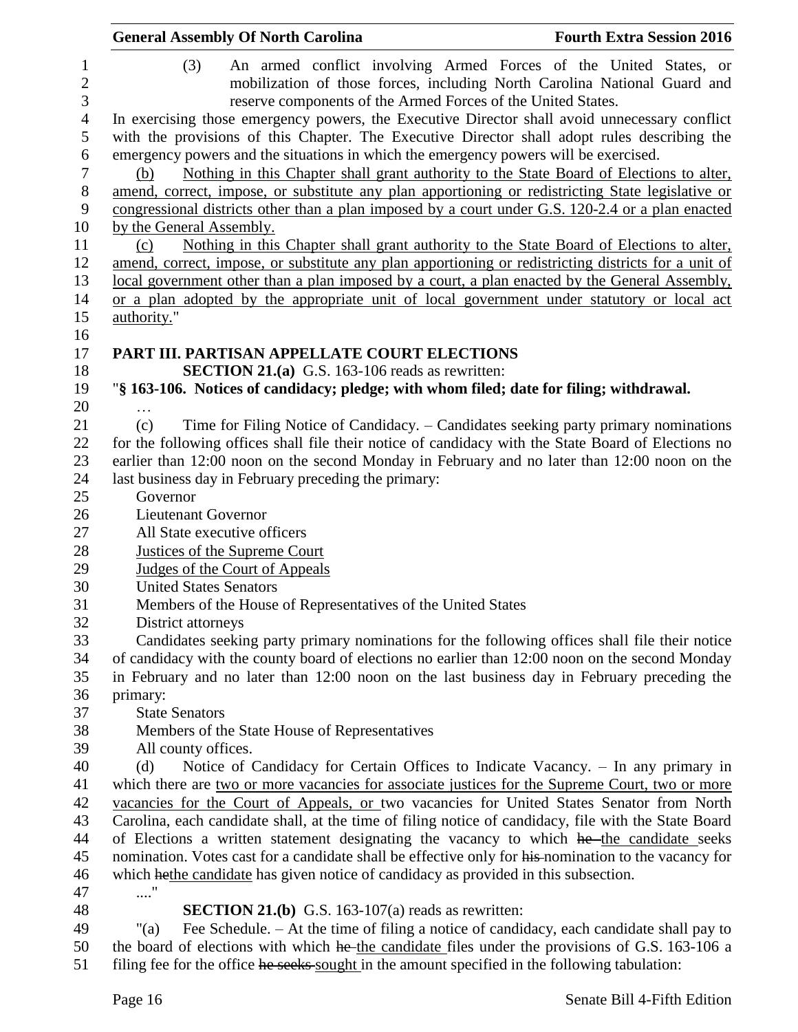|                     | <b>General Assembly Of North Carolina</b><br><b>Fourth Extra Session 2016</b>                                                                                                                 |
|---------------------|-----------------------------------------------------------------------------------------------------------------------------------------------------------------------------------------------|
| 1<br>$\overline{2}$ | (3)<br>An armed conflict involving Armed Forces of the United States, or<br>mobilization of those forces, including North Carolina National Guard and                                         |
| 3                   | reserve components of the Armed Forces of the United States.                                                                                                                                  |
| $\overline{4}$<br>5 | In exercising those emergency powers, the Executive Director shall avoid unnecessary conflict<br>with the provisions of this Chapter. The Executive Director shall adopt rules describing the |
| 6                   | emergency powers and the situations in which the emergency powers will be exercised.                                                                                                          |
| $\overline{7}$      | Nothing in this Chapter shall grant authority to the State Board of Elections to alter,<br>(b)                                                                                                |
| $8\,$               | amend, correct, impose, or substitute any plan apportioning or redistricting State legislative or                                                                                             |
| 9                   | congressional districts other than a plan imposed by a court under G.S. 120-2.4 or a plan enacted                                                                                             |
| 10                  | by the General Assembly.                                                                                                                                                                      |
| 11                  | Nothing in this Chapter shall grant authority to the State Board of Elections to alter,<br>(c)                                                                                                |
| 12                  | amend, correct, impose, or substitute any plan apportioning or redistricting districts for a unit of                                                                                          |
| 13                  | local government other than a plan imposed by a court, a plan enacted by the General Assembly,                                                                                                |
| 14                  | or a plan adopted by the appropriate unit of local government under statutory or local act                                                                                                    |
| 15                  | authority."                                                                                                                                                                                   |
| 16                  |                                                                                                                                                                                               |
| 17                  | PART III. PARTISAN APPELLATE COURT ELECTIONS                                                                                                                                                  |
| 18                  | <b>SECTION 21.(a)</b> G.S. 163-106 reads as rewritten:                                                                                                                                        |
| 19                  | "§ 163-106. Notices of candidacy; pledge; with whom filed; date for filing; withdrawal.                                                                                                       |
| 20                  |                                                                                                                                                                                               |
| 21                  | Time for Filing Notice of Candidacy. – Candidates seeking party primary nominations<br>(c)                                                                                                    |
| 22                  | for the following offices shall file their notice of candidacy with the State Board of Elections no                                                                                           |
| 23                  | earlier than 12:00 noon on the second Monday in February and no later than 12:00 noon on the                                                                                                  |
| 24                  | last business day in February preceding the primary:                                                                                                                                          |
| 25                  | Governor                                                                                                                                                                                      |
| 26                  | <b>Lieutenant Governor</b>                                                                                                                                                                    |
| 27                  | All State executive officers                                                                                                                                                                  |
| 28                  | <b>Justices of the Supreme Court</b>                                                                                                                                                          |
| 29                  | Judges of the Court of Appeals                                                                                                                                                                |
| 30                  | <b>United States Senators</b>                                                                                                                                                                 |
| 31                  | Members of the House of Representatives of the United States                                                                                                                                  |
| 32                  | District attorneys                                                                                                                                                                            |
| 33                  | Candidates seeking party primary nominations for the following offices shall file their notice                                                                                                |
| 34                  | of candidacy with the county board of elections no earlier than 12:00 noon on the second Monday                                                                                               |
| 35<br>36            | in February and no later than 12:00 noon on the last business day in February preceding the<br>primary:                                                                                       |
| 37                  | <b>State Senators</b>                                                                                                                                                                         |
| 38                  | Members of the State House of Representatives                                                                                                                                                 |
| 39                  | All county offices.                                                                                                                                                                           |
| 40                  | Notice of Candidacy for Certain Offices to Indicate Vacancy. - In any primary in<br>(d)                                                                                                       |
| 41                  | which there are two or more vacancies for associate justices for the Supreme Court, two or more                                                                                               |
| 42                  | vacancies for the Court of Appeals, or two vacancies for United States Senator from North                                                                                                     |
| 43                  | Carolina, each candidate shall, at the time of filing notice of candidacy, file with the State Board                                                                                          |
| 44                  | of Elections a written statement designating the vacancy to which he the candidate seeks                                                                                                      |
| 45                  | nomination. Votes cast for a candidate shall be effective only for his-nomination to the vacancy for                                                                                          |
| 46                  | which hethe candidate has given notice of candidacy as provided in this subsection.                                                                                                           |
| 47                  | $\ldots$ "                                                                                                                                                                                    |
| 48                  | <b>SECTION 21.(b)</b> G.S. 163-107(a) reads as rewritten:                                                                                                                                     |
| 49                  | Fee Schedule. - At the time of filing a notice of candidacy, each candidate shall pay to<br>" $(a)$                                                                                           |
| 50                  | the board of elections with which he the candidate files under the provisions of G.S. 163-106 a                                                                                               |

51 filing fee for the office he seeks sought in the amount specified in the following tabulation: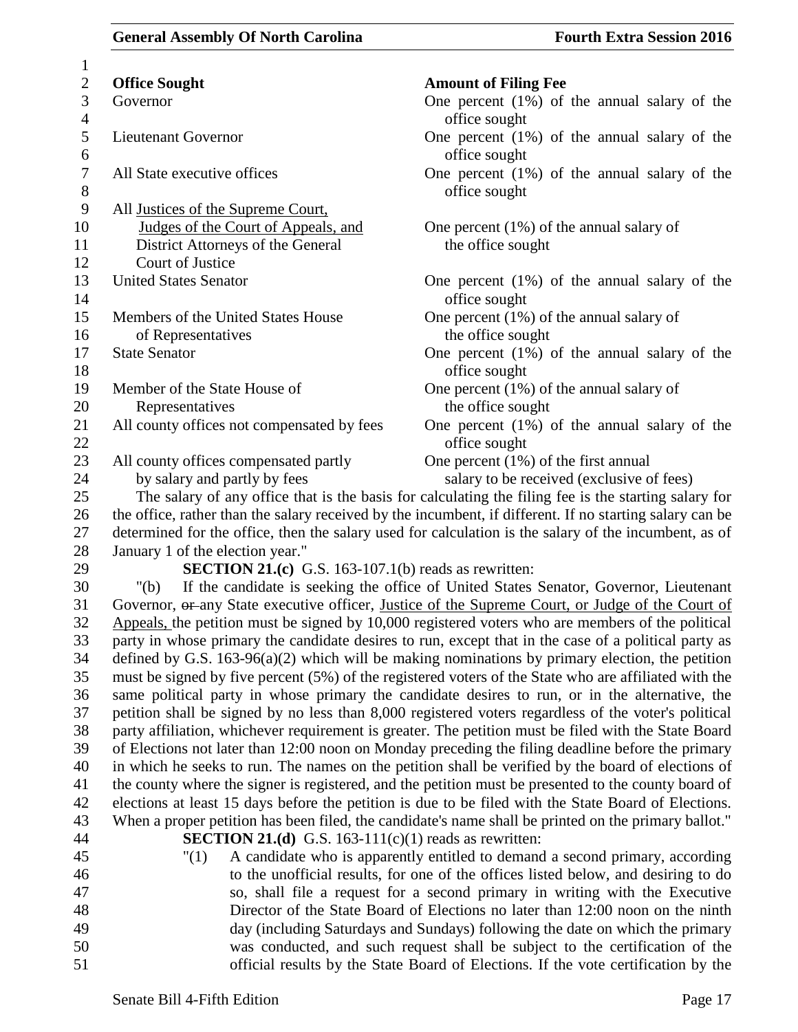| $\mathbf{1}$           |                                                              |                                                                                                                                                                                                              |
|------------------------|--------------------------------------------------------------|--------------------------------------------------------------------------------------------------------------------------------------------------------------------------------------------------------------|
| $\mathbf{2}$           | <b>Office Sought</b>                                         | <b>Amount of Filing Fee</b>                                                                                                                                                                                  |
| 3<br>$\overline{4}$    | Governor                                                     | One percent $(1\%)$ of the annual salary of the<br>office sought                                                                                                                                             |
| 5                      | <b>Lieutenant Governor</b>                                   | One percent $(1\%)$ of the annual salary of the                                                                                                                                                              |
| 6                      |                                                              | office sought                                                                                                                                                                                                |
| $\tau$                 | All State executive offices                                  | One percent $(1%)$ of the annual salary of the                                                                                                                                                               |
| $8\,$                  |                                                              | office sought                                                                                                                                                                                                |
| $\boldsymbol{9}$<br>10 | All Justices of the Supreme Court,                           |                                                                                                                                                                                                              |
| 11                     | Judges of the Court of Appeals, and                          | One percent $(1\%)$ of the annual salary of<br>the office sought                                                                                                                                             |
| 12                     | District Attorneys of the General<br>Court of Justice        |                                                                                                                                                                                                              |
| 13                     | <b>United States Senator</b>                                 | One percent $(1\%)$ of the annual salary of the                                                                                                                                                              |
| 14                     |                                                              | office sought                                                                                                                                                                                                |
| 15                     | Members of the United States House                           | One percent $(1\%)$ of the annual salary of                                                                                                                                                                  |
| 16                     | of Representatives                                           | the office sought                                                                                                                                                                                            |
| 17                     | <b>State Senator</b>                                         | One percent $(1%)$ of the annual salary of the                                                                                                                                                               |
| 18                     |                                                              | office sought                                                                                                                                                                                                |
| 19                     | Member of the State House of                                 | One percent $(1%)$ of the annual salary of                                                                                                                                                                   |
| 20                     | Representatives                                              | the office sought                                                                                                                                                                                            |
| 21                     | All county offices not compensated by fees                   | One percent $(1\%)$ of the annual salary of the                                                                                                                                                              |
| 22                     |                                                              | office sought                                                                                                                                                                                                |
| 23                     | All county offices compensated partly                        | One percent $(1\%)$ of the first annual                                                                                                                                                                      |
| 24                     | by salary and partly by fees                                 | salary to be received (exclusive of fees)                                                                                                                                                                    |
| 25                     |                                                              | The salary of any office that is the basis for calculating the filing fee is the starting salary for                                                                                                         |
| 26                     |                                                              | the office, rather than the salary received by the incumbent, if different. If no starting salary can be                                                                                                     |
| 27                     |                                                              | determined for the office, then the salary used for calculation is the salary of the incumbent, as of                                                                                                        |
| 28                     | January 1 of the election year."                             |                                                                                                                                                                                                              |
| 29                     | <b>SECTION 21.(c)</b> G.S. 163-107.1(b) reads as rewritten:  |                                                                                                                                                                                                              |
| 30                     | "(b)                                                         | If the candidate is seeking the office of United States Senator, Governor, Lieutenant                                                                                                                        |
| 31                     |                                                              | Governor, or any State executive officer, Justice of the Supreme Court, or Judge of the Court of                                                                                                             |
| 32                     |                                                              | Appeals, the petition must be signed by 10,000 registered voters who are members of the political                                                                                                            |
| 33                     |                                                              | party in whose primary the candidate desires to run, except that in the case of a political party as                                                                                                         |
| 34                     |                                                              | defined by G.S. $163-96(a)(2)$ which will be making nominations by primary election, the petition                                                                                                            |
| 35                     |                                                              | must be signed by five percent (5%) of the registered voters of the State who are affiliated with the                                                                                                        |
| 36                     |                                                              | same political party in whose primary the candidate desires to run, or in the alternative, the                                                                                                               |
| 37                     |                                                              | petition shall be signed by no less than 8,000 registered voters regardless of the voter's political                                                                                                         |
| 38                     |                                                              | party affiliation, whichever requirement is greater. The petition must be filed with the State Board                                                                                                         |
| 39                     |                                                              | of Elections not later than 12:00 noon on Monday preceding the filing deadline before the primary                                                                                                            |
| 40                     |                                                              | in which he seeks to run. The names on the petition shall be verified by the board of elections of                                                                                                           |
| 41<br>42               |                                                              | the county where the signer is registered, and the petition must be presented to the county board of<br>elections at least 15 days before the petition is due to be filed with the State Board of Elections. |
| 43                     |                                                              | When a proper petition has been filed, the candidate's name shall be printed on the primary ballot."                                                                                                         |
| 44                     | <b>SECTION 21.(d)</b> G.S. 163-111(c)(1) reads as rewritten: |                                                                                                                                                                                                              |
| 45                     | "(1)                                                         | A candidate who is apparently entitled to demand a second primary, according                                                                                                                                 |
| 46                     |                                                              | to the unofficial results, for one of the offices listed below, and desiring to do                                                                                                                           |
| 47                     |                                                              | so, shall file a request for a second primary in writing with the Executive                                                                                                                                  |
| 48                     |                                                              | Director of the State Board of Elections no later than 12:00 noon on the ninth                                                                                                                               |
| 49                     |                                                              | day (including Saturdays and Sundays) following the date on which the primary                                                                                                                                |
| 50                     |                                                              | was conducted, and such request shall be subject to the certification of the                                                                                                                                 |
| 51                     |                                                              | official results by the State Board of Elections. If the vote certification by the                                                                                                                           |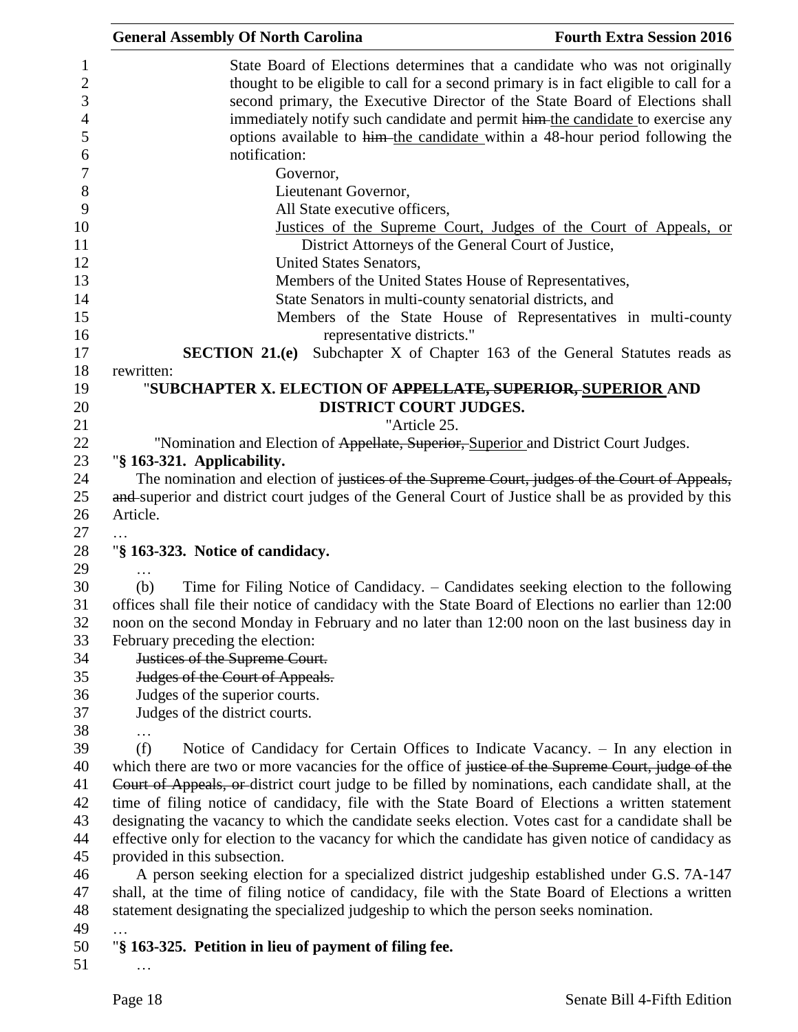| <b>General Assembly Of North Carolina</b>              |                                                                                       | <b>Fourth Extra Session 2016</b>                                                                     |
|--------------------------------------------------------|---------------------------------------------------------------------------------------|------------------------------------------------------------------------------------------------------|
|                                                        |                                                                                       | State Board of Elections determines that a candidate who was not originally                          |
|                                                        |                                                                                       | thought to be eligible to call for a second primary is in fact eligible to call for a                |
|                                                        |                                                                                       | second primary, the Executive Director of the State Board of Elections shall                         |
|                                                        |                                                                                       | immediately notify such candidate and permit him the candidate to exercise any                       |
|                                                        |                                                                                       | options available to him the candidate within a 48-hour period following the                         |
| notification:                                          |                                                                                       |                                                                                                      |
|                                                        | Governor,                                                                             |                                                                                                      |
|                                                        |                                                                                       |                                                                                                      |
|                                                        | Lieutenant Governor,                                                                  |                                                                                                      |
|                                                        | All State executive officers,                                                         |                                                                                                      |
|                                                        |                                                                                       | Justices of the Supreme Court, Judges of the Court of Appeals, or                                    |
|                                                        | District Attorneys of the General Court of Justice,                                   |                                                                                                      |
|                                                        | United States Senators,                                                               |                                                                                                      |
|                                                        | Members of the United States House of Representatives,                                |                                                                                                      |
|                                                        | State Senators in multi-county senatorial districts, and                              |                                                                                                      |
|                                                        |                                                                                       | Members of the State House of Representatives in multi-county                                        |
|                                                        | representative districts."                                                            |                                                                                                      |
|                                                        |                                                                                       | <b>SECTION 21.(e)</b> Subchapter X of Chapter 163 of the General Statutes reads as                   |
| rewritten:                                             |                                                                                       |                                                                                                      |
|                                                        | "SUBCHAPTER X. ELECTION OF <del>APPELLATE, SUPERIOR, S</del> UPERIOR AND              |                                                                                                      |
|                                                        | DISTRICT COURT JUDGES.                                                                |                                                                                                      |
|                                                        | "Article 25.                                                                          |                                                                                                      |
|                                                        | "Nomination and Election of Appellate, Superior, Superior and District Court Judges.  |                                                                                                      |
| "§ 163-321. Applicability.                             |                                                                                       |                                                                                                      |
|                                                        |                                                                                       | The nomination and election of justices of the Supreme Court, judges of the Court of Appeals,        |
|                                                        |                                                                                       | and superior and district court judges of the General Court of Justice shall be as provided by this  |
| Article.                                               |                                                                                       |                                                                                                      |
|                                                        |                                                                                       |                                                                                                      |
| "§ 163-323. Notice of candidacy.                       |                                                                                       |                                                                                                      |
|                                                        |                                                                                       |                                                                                                      |
| (b)                                                    |                                                                                       | Time for Filing Notice of Candidacy. – Candidates seeking election to the following                  |
|                                                        |                                                                                       | offices shall file their notice of candidacy with the State Board of Elections no earlier than 12:00 |
|                                                        |                                                                                       | noon on the second Monday in February and no later than 12:00 noon on the last business day in       |
| February preceding the election:                       |                                                                                       |                                                                                                      |
| Justices of the Supreme Court.                         |                                                                                       |                                                                                                      |
| Judges of the Court of Appeals.                        |                                                                                       |                                                                                                      |
| Judges of the superior courts.                         |                                                                                       |                                                                                                      |
| Judges of the district courts.                         |                                                                                       |                                                                                                      |
|                                                        |                                                                                       |                                                                                                      |
| (f)                                                    |                                                                                       | Notice of Candidacy for Certain Offices to Indicate Vacancy. - In any election in                    |
|                                                        |                                                                                       | which there are two or more vacancies for the office of justice of the Supreme Court, judge of the   |
|                                                        |                                                                                       |                                                                                                      |
|                                                        |                                                                                       | Court of Appeals, or district court judge to be filled by nominations, each candidate shall, at the  |
|                                                        |                                                                                       | time of filing notice of candidacy, file with the State Board of Elections a written statement       |
|                                                        |                                                                                       | designating the vacancy to which the candidate seeks election. Votes cast for a candidate shall be   |
|                                                        |                                                                                       | effective only for election to the vacancy for which the candidate has given notice of candidacy as  |
| provided in this subsection.                           |                                                                                       |                                                                                                      |
|                                                        |                                                                                       | A person seeking election for a specialized district judgeship established under G.S. 7A-147         |
|                                                        |                                                                                       | shall, at the time of filing notice of candidacy, file with the State Board of Elections a written   |
|                                                        | statement designating the specialized judgeship to which the person seeks nomination. |                                                                                                      |
|                                                        |                                                                                       |                                                                                                      |
| "§ 163-325. Petition in lieu of payment of filing fee. |                                                                                       |                                                                                                      |
|                                                        |                                                                                       |                                                                                                      |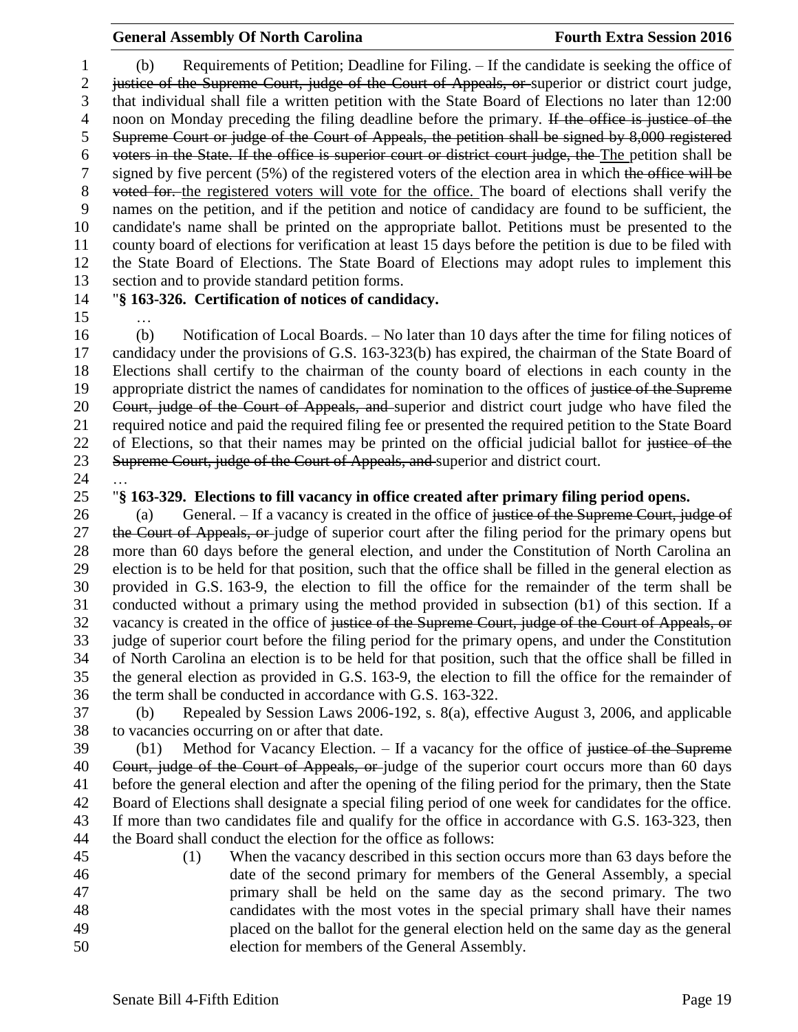(b) Requirements of Petition; Deadline for Filing. – If the candidate is seeking the office of justice of the Supreme Court, judge of the Court of Appeals, or superior or district court judge, that individual shall file a written petition with the State Board of Elections no later than 12:00 4 noon on Monday preceding the filing deadline before the primary. If the office is justice of the Supreme Court or judge of the Court of Appeals, the petition shall be signed by 8,000 registered voters in the State. If the office is superior court or district court judge, the The petition shall be 7 signed by five percent (5%) of the registered voters of the election area in which the office will be 8 voted for, the registered voters will vote for the office. The board of elections shall verify the names on the petition, and if the petition and notice of candidacy are found to be sufficient, the candidate's name shall be printed on the appropriate ballot. Petitions must be presented to the county board of elections for verification at least 15 days before the petition is due to be filed with the State Board of Elections. The State Board of Elections may adopt rules to implement this section and to provide standard petition forms.

…

# "**§ 163-326. Certification of notices of candidacy.**

 (b) Notification of Local Boards. – No later than 10 days after the time for filing notices of candidacy under the provisions of G.S. 163-323(b) has expired, the chairman of the State Board of Elections shall certify to the chairman of the county board of elections in each county in the 19 appropriate district the names of candidates for nomination to the offices of justice of the Supreme Court, judge of the Court of Appeals, and superior and district court judge who have filed the required notice and paid the required filing fee or presented the required petition to the State Board 22 of Elections, so that their names may be printed on the official judicial ballot for justice of the 23 Supreme Court, judge of the Court of Appeals, and superior and district court.

## "**§ 163-329. Elections to fill vacancy in office created after primary filing period opens.**

26 (a) General. – If a vacancy is created in the office of justice of the Supreme Court, judge of 27 the Court of Appeals, or judge of superior court after the filing period for the primary opens but more than 60 days before the general election, and under the Constitution of North Carolina an election is to be held for that position, such that the office shall be filled in the general election as provided in G.S. 163-9, the election to fill the office for the remainder of the term shall be conducted without a primary using the method provided in subsection (b1) of this section. If a 32 vacancy is created in the office of justice of the Supreme Court, judge of the Court of Appeals, or judge of superior court before the filing period for the primary opens, and under the Constitution of North Carolina an election is to be held for that position, such that the office shall be filled in the general election as provided in G.S. 163-9, the election to fill the office for the remainder of the term shall be conducted in accordance with G.S. 163-322.

 (b) Repealed by Session Laws 2006-192, s. 8(a), effective August 3, 2006, and applicable to vacancies occurring on or after that date.

39 (b1) Method for Vacancy Election. – If a vacancy for the office of justice of the Supreme 40 Court, judge of the Court of Appeals, or judge of the superior court occurs more than 60 days before the general election and after the opening of the filing period for the primary, then the State Board of Elections shall designate a special filing period of one week for candidates for the office. If more than two candidates file and qualify for the office in accordance with G.S. 163-323, then the Board shall conduct the election for the office as follows:

 (1) When the vacancy described in this section occurs more than 63 days before the date of the second primary for members of the General Assembly, a special primary shall be held on the same day as the second primary. The two candidates with the most votes in the special primary shall have their names placed on the ballot for the general election held on the same day as the general election for members of the General Assembly.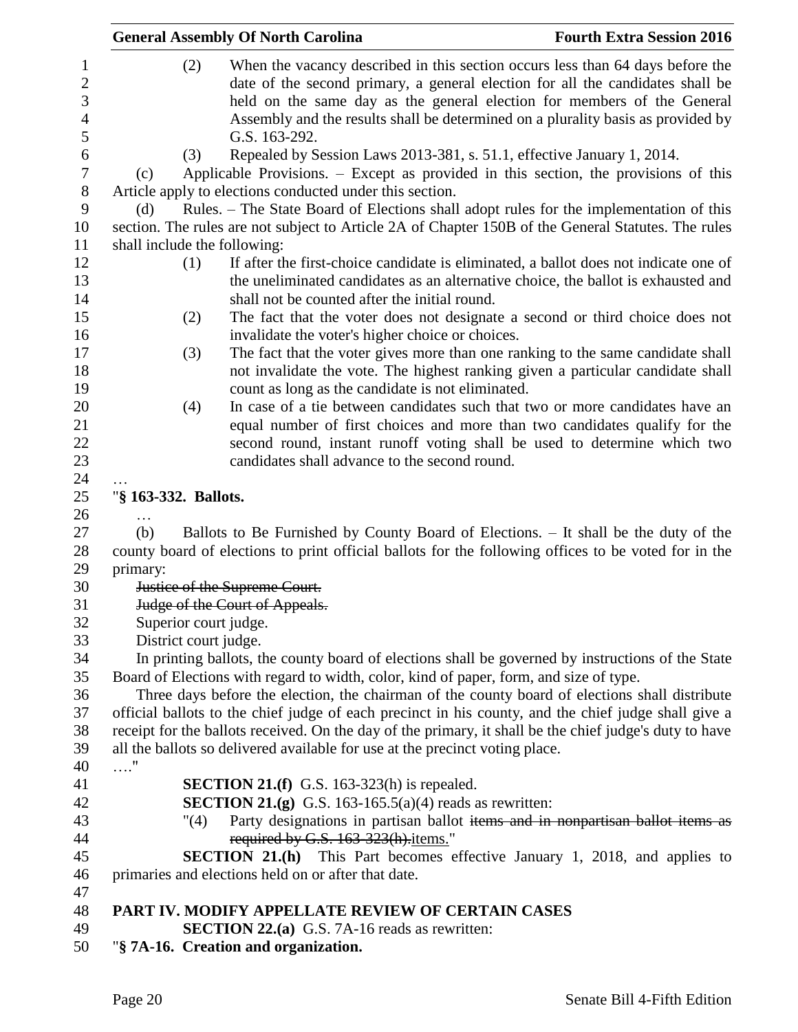|                                                            |                                                                                                      | <b>General Assembly Of North Carolina</b>                                                                                                                     | <b>Fourth Extra Session 2016</b>                                                                                                                                                                                                                                                                                                |
|------------------------------------------------------------|------------------------------------------------------------------------------------------------------|---------------------------------------------------------------------------------------------------------------------------------------------------------------|---------------------------------------------------------------------------------------------------------------------------------------------------------------------------------------------------------------------------------------------------------------------------------------------------------------------------------|
| $\mathbf{1}$<br>$\overline{2}$<br>3<br>$\overline{4}$<br>5 | (2)                                                                                                  | G.S. 163-292.                                                                                                                                                 | When the vacancy described in this section occurs less than 64 days before the<br>date of the second primary, a general election for all the candidates shall be<br>held on the same day as the general election for members of the General<br>Assembly and the results shall be determined on a plurality basis as provided by |
| 6<br>$\tau$                                                | (3)<br>(c)                                                                                           | Repealed by Session Laws 2013-381, s. 51.1, effective January 1, 2014.<br>Applicable Provisions. – Except as provided in this section, the provisions of this |                                                                                                                                                                                                                                                                                                                                 |
| $8\,$                                                      |                                                                                                      | Article apply to elections conducted under this section.                                                                                                      |                                                                                                                                                                                                                                                                                                                                 |
| 9                                                          | (d)                                                                                                  | Rules. – The State Board of Elections shall adopt rules for the implementation of this                                                                        |                                                                                                                                                                                                                                                                                                                                 |
| 10                                                         |                                                                                                      | section. The rules are not subject to Article 2A of Chapter 150B of the General Statutes. The rules                                                           |                                                                                                                                                                                                                                                                                                                                 |
| 11<br>12                                                   | shall include the following:<br>(1)                                                                  |                                                                                                                                                               | If after the first-choice candidate is eliminated, a ballot does not indicate one of                                                                                                                                                                                                                                            |
| 13                                                         |                                                                                                      |                                                                                                                                                               | the uneliminated candidates as an alternative choice, the ballot is exhausted and                                                                                                                                                                                                                                               |
| 14                                                         |                                                                                                      | shall not be counted after the initial round.                                                                                                                 |                                                                                                                                                                                                                                                                                                                                 |
| 15                                                         | (2)                                                                                                  |                                                                                                                                                               | The fact that the voter does not designate a second or third choice does not                                                                                                                                                                                                                                                    |
| 16                                                         |                                                                                                      | invalidate the voter's higher choice or choices.                                                                                                              |                                                                                                                                                                                                                                                                                                                                 |
| 17                                                         | (3)                                                                                                  |                                                                                                                                                               | The fact that the voter gives more than one ranking to the same candidate shall                                                                                                                                                                                                                                                 |
| 18                                                         |                                                                                                      |                                                                                                                                                               | not invalidate the vote. The highest ranking given a particular candidate shall                                                                                                                                                                                                                                                 |
| 19                                                         |                                                                                                      | count as long as the candidate is not eliminated.                                                                                                             |                                                                                                                                                                                                                                                                                                                                 |
| 20                                                         | (4)                                                                                                  |                                                                                                                                                               | In case of a tie between candidates such that two or more candidates have an                                                                                                                                                                                                                                                    |
| 21                                                         |                                                                                                      |                                                                                                                                                               | equal number of first choices and more than two candidates qualify for the                                                                                                                                                                                                                                                      |
| 22                                                         |                                                                                                      |                                                                                                                                                               | second round, instant runoff voting shall be used to determine which two                                                                                                                                                                                                                                                        |
| 23                                                         |                                                                                                      | candidates shall advance to the second round.                                                                                                                 |                                                                                                                                                                                                                                                                                                                                 |
| 24                                                         |                                                                                                      |                                                                                                                                                               |                                                                                                                                                                                                                                                                                                                                 |
| 25                                                         | "§ 163-332. Ballots.                                                                                 |                                                                                                                                                               |                                                                                                                                                                                                                                                                                                                                 |
| 26                                                         |                                                                                                      |                                                                                                                                                               |                                                                                                                                                                                                                                                                                                                                 |
| 27                                                         | (b)                                                                                                  | Ballots to Be Furnished by County Board of Elections. – It shall be the duty of the                                                                           |                                                                                                                                                                                                                                                                                                                                 |
| 28                                                         | county board of elections to print official ballots for the following offices to be voted for in the |                                                                                                                                                               |                                                                                                                                                                                                                                                                                                                                 |
| 29                                                         | primary:<br>Justice of the Supreme Court.                                                            |                                                                                                                                                               |                                                                                                                                                                                                                                                                                                                                 |
| 30                                                         |                                                                                                      |                                                                                                                                                               |                                                                                                                                                                                                                                                                                                                                 |
| 31<br>32                                                   | Judge of the Court of Appeals.                                                                       |                                                                                                                                                               |                                                                                                                                                                                                                                                                                                                                 |
| 33                                                         | Superior court judge.<br>District court judge.                                                       |                                                                                                                                                               |                                                                                                                                                                                                                                                                                                                                 |
| 34                                                         | In printing ballots, the county board of elections shall be governed by instructions of the State    |                                                                                                                                                               |                                                                                                                                                                                                                                                                                                                                 |
| 35                                                         | Board of Elections with regard to width, color, kind of paper, form, and size of type.               |                                                                                                                                                               |                                                                                                                                                                                                                                                                                                                                 |
| 36                                                         |                                                                                                      | Three days before the election, the chairman of the county board of elections shall distribute                                                                |                                                                                                                                                                                                                                                                                                                                 |
| 37                                                         |                                                                                                      | official ballots to the chief judge of each precinct in his county, and the chief judge shall give a                                                          |                                                                                                                                                                                                                                                                                                                                 |
| 38                                                         |                                                                                                      | receipt for the ballots received. On the day of the primary, it shall be the chief judge's duty to have                                                       |                                                                                                                                                                                                                                                                                                                                 |
| 39                                                         |                                                                                                      | all the ballots so delivered available for use at the precinct voting place.                                                                                  |                                                                                                                                                                                                                                                                                                                                 |
| 40                                                         | . "                                                                                                  |                                                                                                                                                               |                                                                                                                                                                                                                                                                                                                                 |
| 41                                                         |                                                                                                      | SECTION 21.(f) G.S. 163-323(h) is repealed.                                                                                                                   |                                                                                                                                                                                                                                                                                                                                 |
| 42                                                         |                                                                                                      | <b>SECTION 21.(g)</b> G.S. 163-165.5(a)(4) reads as rewritten:                                                                                                |                                                                                                                                                                                                                                                                                                                                 |
| 43                                                         | $^{\prime\prime}(4)$                                                                                 |                                                                                                                                                               | Party designations in partisan ballot items and in nonpartisan ballot items as                                                                                                                                                                                                                                                  |
| 44                                                         |                                                                                                      | required by G.S. 163-323(h).items."                                                                                                                           |                                                                                                                                                                                                                                                                                                                                 |
| 45                                                         |                                                                                                      | <b>SECTION 21.(h)</b> This Part becomes effective January 1, 2018, and applies to                                                                             |                                                                                                                                                                                                                                                                                                                                 |
| 46                                                         |                                                                                                      | primaries and elections held on or after that date.                                                                                                           |                                                                                                                                                                                                                                                                                                                                 |
| 47                                                         |                                                                                                      |                                                                                                                                                               |                                                                                                                                                                                                                                                                                                                                 |
| 48                                                         |                                                                                                      | PART IV. MODIFY APPELLATE REVIEW OF CERTAIN CASES                                                                                                             |                                                                                                                                                                                                                                                                                                                                 |
| 49                                                         |                                                                                                      | <b>SECTION 22.(a)</b> G.S. 7A-16 reads as rewritten:                                                                                                          |                                                                                                                                                                                                                                                                                                                                 |
| 50                                                         |                                                                                                      | "§ 7A-16. Creation and organization.                                                                                                                          |                                                                                                                                                                                                                                                                                                                                 |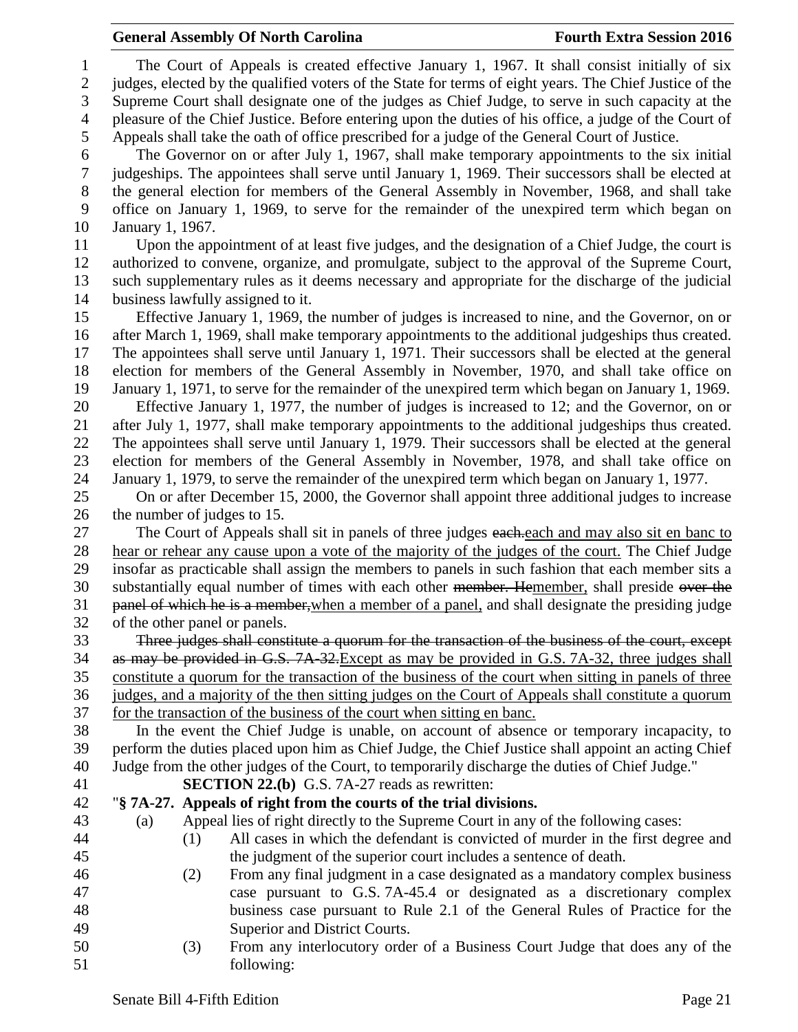The Court of Appeals is created effective January 1, 1967. It shall consist initially of six judges, elected by the qualified voters of the State for terms of eight years. The Chief Justice of the Supreme Court shall designate one of the judges as Chief Judge, to serve in such capacity at the pleasure of the Chief Justice. Before entering upon the duties of his office, a judge of the Court of Appeals shall take the oath of office prescribed for a judge of the General Court of Justice. The Governor on or after July 1, 1967, shall make temporary appointments to the six initial judgeships. The appointees shall serve until January 1, 1969. Their successors shall be elected at the general election for members of the General Assembly in November, 1968, and shall take office on January 1, 1969, to serve for the remainder of the unexpired term which began on January 1, 1967. Upon the appointment of at least five judges, and the designation of a Chief Judge, the court is authorized to convene, organize, and promulgate, subject to the approval of the Supreme Court, such supplementary rules as it deems necessary and appropriate for the discharge of the judicial business lawfully assigned to it. Effective January 1, 1969, the number of judges is increased to nine, and the Governor, on or after March 1, 1969, shall make temporary appointments to the additional judgeships thus created. The appointees shall serve until January 1, 1971. Their successors shall be elected at the general election for members of the General Assembly in November, 1970, and shall take office on January 1, 1971, to serve for the remainder of the unexpired term which began on January 1, 1969. Effective January 1, 1977, the number of judges is increased to 12; and the Governor, on or after July 1, 1977, shall make temporary appointments to the additional judgeships thus created. The appointees shall serve until January 1, 1979. Their successors shall be elected at the general election for members of the General Assembly in November, 1978, and shall take office on January 1, 1979, to serve the remainder of the unexpired term which began on January 1, 1977. On or after December 15, 2000, the Governor shall appoint three additional judges to increase the number of judges to 15. 27 The Court of Appeals shall sit in panels of three judges each each and may also sit en banc to hear or rehear any cause upon a vote of the majority of the judges of the court. The Chief Judge insofar as practicable shall assign the members to panels in such fashion that each member sits a 30 substantially equal number of times with each other member. Hemember, shall preside over the 31 panel of which he is a member, when a member of a panel, and shall designate the presiding judge of the other panel or panels. Three judges shall constitute a quorum for the transaction of the business of the court, except as may be provided in G.S. 7A-32.Except as may be provided in G.S. 7A-32, three judges shall constitute a quorum for the transaction of the business of the court when sitting in panels of three judges, and a majority of the then sitting judges on the Court of Appeals shall constitute a quorum 37 for the transaction of the business of the court when sitting en banc. In the event the Chief Judge is unable, on account of absence or temporary incapacity, to perform the duties placed upon him as Chief Judge, the Chief Justice shall appoint an acting Chief Judge from the other judges of the Court, to temporarily discharge the duties of Chief Judge." **SECTION 22.(b)** G.S. 7A-27 reads as rewritten: "**§ 7A-27. Appeals of right from the courts of the trial divisions.** (a) Appeal lies of right directly to the Supreme Court in any of the following cases: (1) All cases in which the defendant is convicted of murder in the first degree and the judgment of the superior court includes a sentence of death. (2) From any final judgment in a case designated as a mandatory complex business case pursuant to G.S. 7A-45.4 or designated as a discretionary complex business case pursuant to Rule 2.1 of the General Rules of Practice for the Superior and District Courts. (3) From any interlocutory order of a Business Court Judge that does any of the following: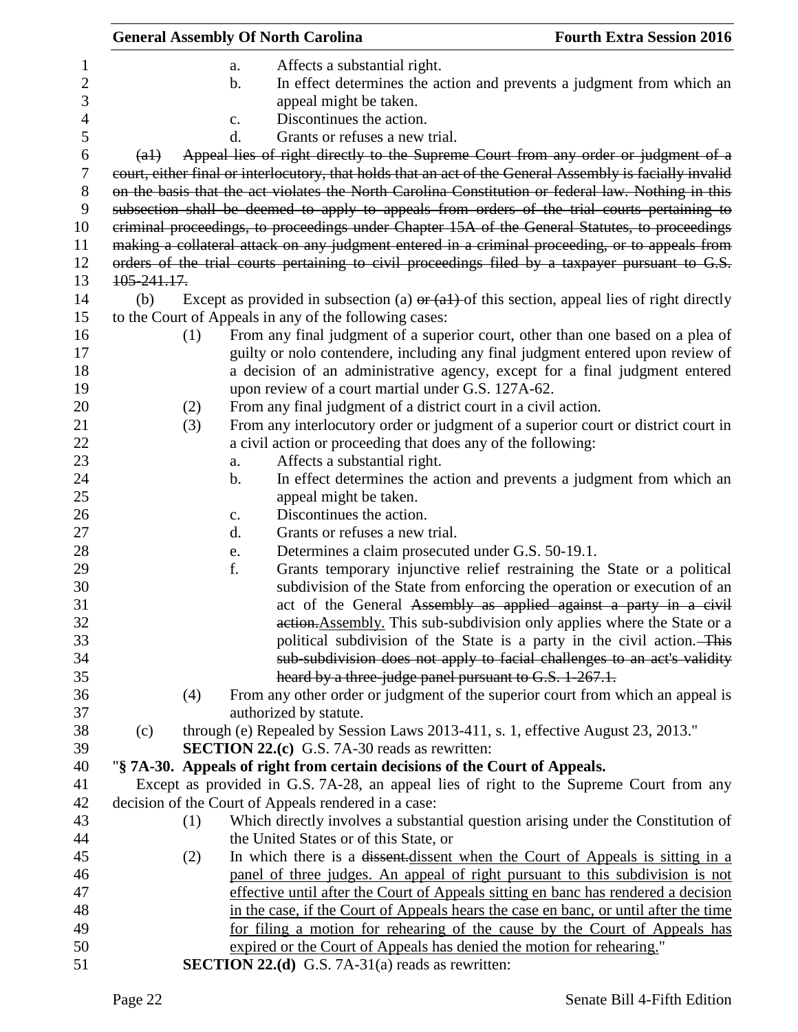|              |                                                                                                                                                 | <b>General Assembly Of North Carolina</b>                                                                                                                                                                      | <b>Fourth Extra Session 2016</b>                                         |
|--------------|-------------------------------------------------------------------------------------------------------------------------------------------------|----------------------------------------------------------------------------------------------------------------------------------------------------------------------------------------------------------------|--------------------------------------------------------------------------|
| $\mathbf{1}$ |                                                                                                                                                 | Affects a substantial right.<br>a.                                                                                                                                                                             |                                                                          |
| 2            |                                                                                                                                                 | b.                                                                                                                                                                                                             | In effect determines the action and prevents a judgment from which an    |
| 3            |                                                                                                                                                 | appeal might be taken.                                                                                                                                                                                         |                                                                          |
| 4            |                                                                                                                                                 | Discontinues the action.<br>$\mathbf{c}$ .                                                                                                                                                                     |                                                                          |
| 5            |                                                                                                                                                 | d.<br>Grants or refuses a new trial.                                                                                                                                                                           |                                                                          |
| 6            | (a1)                                                                                                                                            | Appeal lies of right directly to the Supreme Court from any order or judgment of a                                                                                                                             |                                                                          |
| 7<br>8       |                                                                                                                                                 | court, either final or interlocutory, that holds that an act of the General Assembly is facially invalid<br>on the basis that the act violates the North Carolina Constitution or federal law. Nothing in this |                                                                          |
| 9<br>10      |                                                                                                                                                 | subsection shall be deemed to apply to appeals from orders of the trial courts pertaining to<br>criminal proceedings, to proceedings under Chapter 15A of the General Statutes, to proceedings                 |                                                                          |
| 11           |                                                                                                                                                 | making a collateral attack on any judgment entered in a criminal proceeding, or to appeals from                                                                                                                |                                                                          |
| 12           |                                                                                                                                                 | orders of the trial courts pertaining to civil proceedings filed by a taxpayer pursuant to G.S.                                                                                                                |                                                                          |
| 13           | 105-241.17.                                                                                                                                     |                                                                                                                                                                                                                |                                                                          |
| 14           | (b)                                                                                                                                             | Except as provided in subsection (a) $\theta$ (al) of this section, appeal lies of right directly                                                                                                              |                                                                          |
| 15           |                                                                                                                                                 | to the Court of Appeals in any of the following cases:                                                                                                                                                         |                                                                          |
| 16           | (1)                                                                                                                                             | From any final judgment of a superior court, other than one based on a plea of                                                                                                                                 |                                                                          |
| 17           |                                                                                                                                                 | guilty or nolo contendere, including any final judgment entered upon review of                                                                                                                                 |                                                                          |
| 18           |                                                                                                                                                 | a decision of an administrative agency, except for a final judgment entered                                                                                                                                    |                                                                          |
| 19           |                                                                                                                                                 | upon review of a court martial under G.S. 127A-62.                                                                                                                                                             |                                                                          |
| 20           | (2)                                                                                                                                             | From any final judgment of a district court in a civil action.                                                                                                                                                 |                                                                          |
| 21           | (3)                                                                                                                                             | From any interlocutory order or judgment of a superior court or district court in                                                                                                                              |                                                                          |
| 22           |                                                                                                                                                 | a civil action or proceeding that does any of the following:                                                                                                                                                   |                                                                          |
| 23           |                                                                                                                                                 | Affects a substantial right.                                                                                                                                                                                   |                                                                          |
| 24           |                                                                                                                                                 | a.<br>b.                                                                                                                                                                                                       | In effect determines the action and prevents a judgment from which an    |
| 25           |                                                                                                                                                 | appeal might be taken.                                                                                                                                                                                         |                                                                          |
| 26           |                                                                                                                                                 | Discontinues the action.                                                                                                                                                                                       |                                                                          |
| 27           |                                                                                                                                                 | c.<br>Grants or refuses a new trial.<br>d.                                                                                                                                                                     |                                                                          |
| 28           |                                                                                                                                                 | Determines a claim prosecuted under G.S. 50-19.1.<br>e.                                                                                                                                                        |                                                                          |
| 29           |                                                                                                                                                 | f.                                                                                                                                                                                                             | Grants temporary injunctive relief restraining the State or a political  |
| 30           |                                                                                                                                                 |                                                                                                                                                                                                                | subdivision of the State from enforcing the operation or execution of an |
| 31           |                                                                                                                                                 |                                                                                                                                                                                                                | act of the General Assembly as applied against a party in a civil        |
| 32           |                                                                                                                                                 |                                                                                                                                                                                                                | action. Assembly. This sub-subdivision only applies where the State or a |
| 33           |                                                                                                                                                 |                                                                                                                                                                                                                | political subdivision of the State is a party in the civil action. This  |
| 34           |                                                                                                                                                 |                                                                                                                                                                                                                | sub-subdivision does not apply to facial challenges to an act's validity |
| 35           |                                                                                                                                                 | heard by a three-judge panel pursuant to G.S. 1-267.1.                                                                                                                                                         |                                                                          |
| 36           | (4)                                                                                                                                             | From any other order or judgment of the superior court from which an appeal is                                                                                                                                 |                                                                          |
| 37           |                                                                                                                                                 | authorized by statute.                                                                                                                                                                                         |                                                                          |
| 38           |                                                                                                                                                 | through (e) Repealed by Session Laws 2013-411, s. 1, effective August 23, 2013."                                                                                                                               |                                                                          |
| 39           | (c)                                                                                                                                             | <b>SECTION 22.(c)</b> G.S. 7A-30 reads as rewritten:                                                                                                                                                           |                                                                          |
| 40           |                                                                                                                                                 |                                                                                                                                                                                                                |                                                                          |
| 41           |                                                                                                                                                 | "§ 7A-30. Appeals of right from certain decisions of the Court of Appeals.                                                                                                                                     |                                                                          |
| 42           | Except as provided in G.S. 7A-28, an appeal lies of right to the Supreme Court from any<br>decision of the Court of Appeals rendered in a case: |                                                                                                                                                                                                                |                                                                          |
| 43           | (1)                                                                                                                                             | Which directly involves a substantial question arising under the Constitution of                                                                                                                               |                                                                          |
| 44           |                                                                                                                                                 | the United States or of this State, or                                                                                                                                                                         |                                                                          |
| 45           | (2)                                                                                                                                             | In which there is a <del>dissent</del> -dissent when the Court of Appeals is sitting in a                                                                                                                      |                                                                          |
| 46           |                                                                                                                                                 | panel of three judges. An appeal of right pursuant to this subdivision is not                                                                                                                                  |                                                                          |
| 47           |                                                                                                                                                 | effective until after the Court of Appeals sitting en banc has rendered a decision                                                                                                                             |                                                                          |
| 48           |                                                                                                                                                 | in the case, if the Court of Appeals hears the case en banc, or until after the time                                                                                                                           |                                                                          |
| 49           |                                                                                                                                                 | for filing a motion for rehearing of the cause by the Court of Appeals has                                                                                                                                     |                                                                          |
| 50           |                                                                                                                                                 | expired or the Court of Appeals has denied the motion for rehearing."                                                                                                                                          |                                                                          |
| 51           |                                                                                                                                                 | <b>SECTION 22.(d)</b> G.S. 7A-31(a) reads as rewritten:                                                                                                                                                        |                                                                          |
|              |                                                                                                                                                 |                                                                                                                                                                                                                |                                                                          |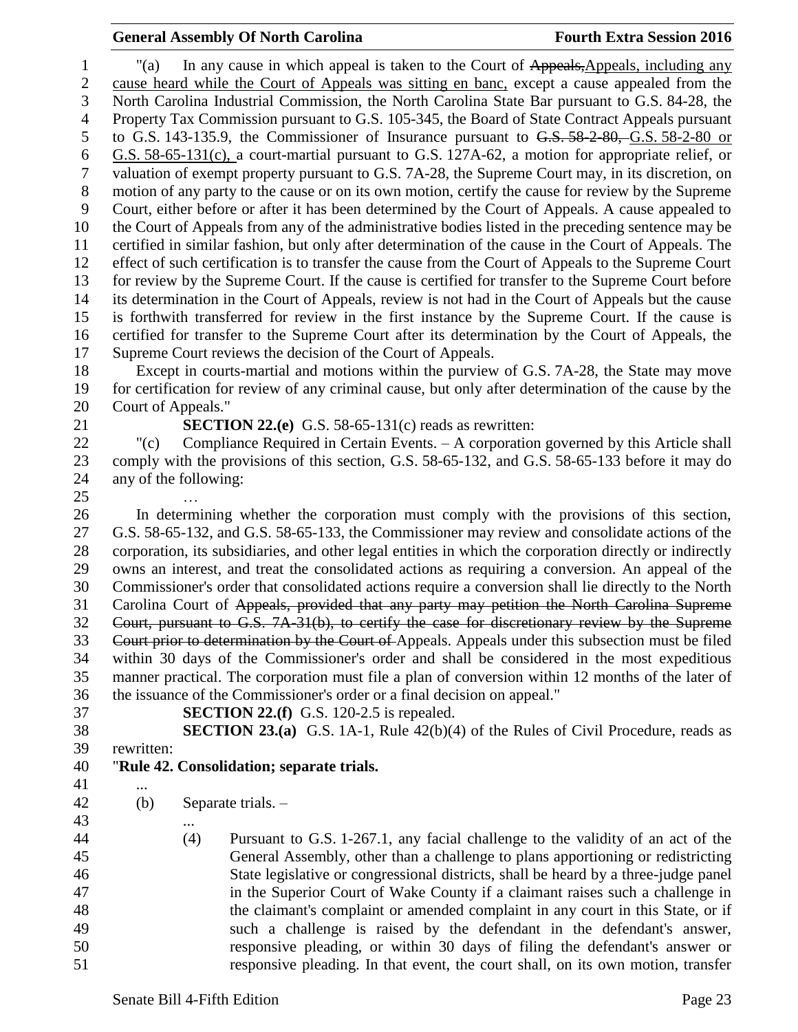<sup>1</sup> "(a) In any cause in which appeal is taken to the Court of Appeals,Appeals, including any cause heard while the Court of Appeals was sitting en banc, except a cause appealed from the North Carolina Industrial Commission, the North Carolina State Bar pursuant to G.S. 84-28, the Property Tax Commission pursuant to G.S. 105-345, the Board of State Contract Appeals pursuant to G.S. 143-135.9, the Commissioner of Insurance pursuant to G.S. 58-2-80, G.S. 58-2-80 or G.S. 58-65-131(c), a court-martial pursuant to G.S. 127A-62, a motion for appropriate relief, or valuation of exempt property pursuant to G.S. 7A-28, the Supreme Court may, in its discretion, on motion of any party to the cause or on its own motion, certify the cause for review by the Supreme Court, either before or after it has been determined by the Court of Appeals. A cause appealed to the Court of Appeals from any of the administrative bodies listed in the preceding sentence may be certified in similar fashion, but only after determination of the cause in the Court of Appeals. The effect of such certification is to transfer the cause from the Court of Appeals to the Supreme Court for review by the Supreme Court. If the cause is certified for transfer to the Supreme Court before its determination in the Court of Appeals, review is not had in the Court of Appeals but the cause is forthwith transferred for review in the first instance by the Supreme Court. If the cause is certified for transfer to the Supreme Court after its determination by the Court of Appeals, the Supreme Court reviews the decision of the Court of Appeals.

 Except in courts-martial and motions within the purview of G.S. 7A-28, the State may move for certification for review of any criminal cause, but only after determination of the cause by the Court of Appeals."

**SECTION 22.(e)** G.S. 58-65-131(c) reads as rewritten:

 "(c) Compliance Required in Certain Events. – A corporation governed by this Article shall comply with the provisions of this section, G.S. 58-65-132, and G.S. 58-65-133 before it may do any of the following:

…

 In determining whether the corporation must comply with the provisions of this section, G.S. 58-65-132, and G.S. 58-65-133, the Commissioner may review and consolidate actions of the corporation, its subsidiaries, and other legal entities in which the corporation directly or indirectly owns an interest, and treat the consolidated actions as requiring a conversion. An appeal of the Commissioner's order that consolidated actions require a conversion shall lie directly to the North Carolina Court of Appeals, provided that any party may petition the North Carolina Supreme Court, pursuant to G.S. 7A-31(b), to certify the case for discretionary review by the Supreme 33 Court prior to determination by the Court of Appeals. Appeals under this subsection must be filed within 30 days of the Commissioner's order and shall be considered in the most expeditious manner practical. The corporation must file a plan of conversion within 12 months of the later of the issuance of the Commissioner's order or a final decision on appeal."

**SECTION 22.(f)** G.S. 120-2.5 is repealed.

**SECTION 23.(a)** G.S. 1A-1, Rule 42(b)(4) of the Rules of Civil Procedure, reads as

rewritten:

## "**Rule 42. Consolidation; separate trials.**

...

(b) Separate trials. –

 (4) Pursuant to G.S. 1-267.1, any facial challenge to the validity of an act of the General Assembly, other than a challenge to plans apportioning or redistricting State legislative or congressional districts, shall be heard by a three-judge panel in the Superior Court of Wake County if a claimant raises such a challenge in the claimant's complaint or amended complaint in any court in this State, or if such a challenge is raised by the defendant in the defendant's answer, responsive pleading, or within 30 days of filing the defendant's answer or responsive pleading. In that event, the court shall, on its own motion, transfer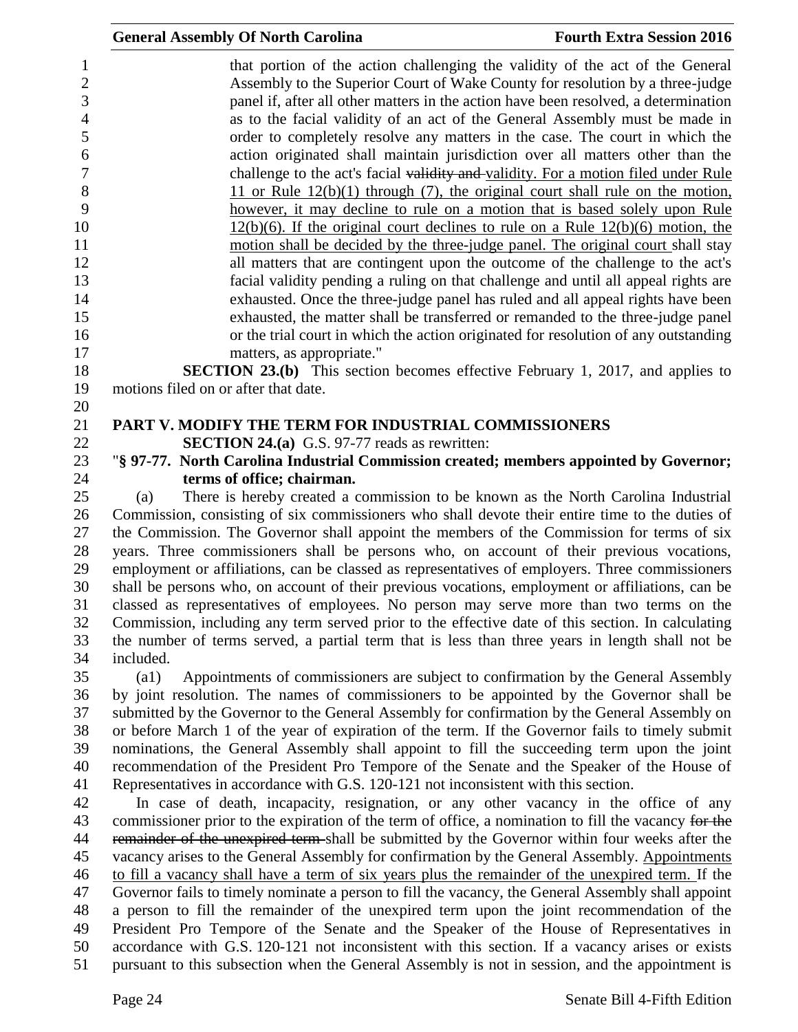|                     | <b>General Assembly Of North Carolina</b><br><b>Fourth Extra Session 2016</b>                                                                                  |
|---------------------|----------------------------------------------------------------------------------------------------------------------------------------------------------------|
| 1<br>$\mathbf{2}$   | that portion of the action challenging the validity of the act of the General<br>Assembly to the Superior Court of Wake County for resolution by a three-judge |
| 3                   | panel if, after all other matters in the action have been resolved, a determination                                                                            |
| $\overline{4}$<br>5 | as to the facial validity of an act of the General Assembly must be made in<br>order to completely resolve any matters in the case. The court in which the     |
| 6                   | action originated shall maintain jurisdiction over all matters other than the                                                                                  |
| 7                   | challenge to the act's facial validity and validity. For a motion filed under Rule                                                                             |
| 8                   | 11 or Rule $12(b)(1)$ through (7), the original court shall rule on the motion,                                                                                |
| 9                   | however, it may decline to rule on a motion that is based solely upon Rule                                                                                     |
| 10                  | $12(b)(6)$ . If the original court declines to rule on a Rule $12(b)(6)$ motion, the                                                                           |
| 11                  | motion shall be decided by the three-judge panel. The original court shall stay                                                                                |
| 12                  | all matters that are contingent upon the outcome of the challenge to the act's                                                                                 |
| 13                  | facial validity pending a ruling on that challenge and until all appeal rights are                                                                             |
| 14                  | exhausted. Once the three-judge panel has ruled and all appeal rights have been                                                                                |
| 15                  | exhausted, the matter shall be transferred or remanded to the three-judge panel                                                                                |
| 16                  | or the trial court in which the action originated for resolution of any outstanding                                                                            |
| 17                  | matters, as appropriate."                                                                                                                                      |
| 18                  | <b>SECTION 23.(b)</b> This section becomes effective February 1, 2017, and applies to                                                                          |
| 19                  | motions filed on or after that date.                                                                                                                           |
| 20                  |                                                                                                                                                                |
| 21                  | <b>PART V. MODIFY THE TERM FOR INDUSTRIAL COMMISSIONERS</b>                                                                                                    |
| 22                  | <b>SECTION 24.(a)</b> G.S. 97-77 reads as rewritten:                                                                                                           |
| 23<br>24            | "§ 97-77. North Carolina Industrial Commission created; members appointed by Governor;<br>terms of office; chairman.                                           |
| 25                  | There is hereby created a commission to be known as the North Carolina Industrial<br>(a)                                                                       |
| 26                  | Commission, consisting of six commissioners who shall devote their entire time to the duties of                                                                |
| 27                  | the Commission. The Governor shall appoint the members of the Commission for terms of six                                                                      |

 the Commission. The Governor shall appoint the members of the Commission for terms of six years. Three commissioners shall be persons who, on account of their previous vocations, employment or affiliations, can be classed as representatives of employers. Three commissioners shall be persons who, on account of their previous vocations, employment or affiliations, can be classed as representatives of employees. No person may serve more than two terms on the Commission, including any term served prior to the effective date of this section. In calculating the number of terms served, a partial term that is less than three years in length shall not be included.

 (a1) Appointments of commissioners are subject to confirmation by the General Assembly by joint resolution. The names of commissioners to be appointed by the Governor shall be submitted by the Governor to the General Assembly for confirmation by the General Assembly on or before March 1 of the year of expiration of the term. If the Governor fails to timely submit nominations, the General Assembly shall appoint to fill the succeeding term upon the joint recommendation of the President Pro Tempore of the Senate and the Speaker of the House of Representatives in accordance with G.S. 120-121 not inconsistent with this section.

 In case of death, incapacity, resignation, or any other vacancy in the office of any 43 commissioner prior to the expiration of the term of office, a nomination to fill the vacancy for the 44 remainder of the unexpired term-shall be submitted by the Governor within four weeks after the vacancy arises to the General Assembly for confirmation by the General Assembly. Appointments to fill a vacancy shall have a term of six years plus the remainder of the unexpired term. If the Governor fails to timely nominate a person to fill the vacancy, the General Assembly shall appoint a person to fill the remainder of the unexpired term upon the joint recommendation of the President Pro Tempore of the Senate and the Speaker of the House of Representatives in accordance with G.S. 120-121 not inconsistent with this section. If a vacancy arises or exists pursuant to this subsection when the General Assembly is not in session, and the appointment is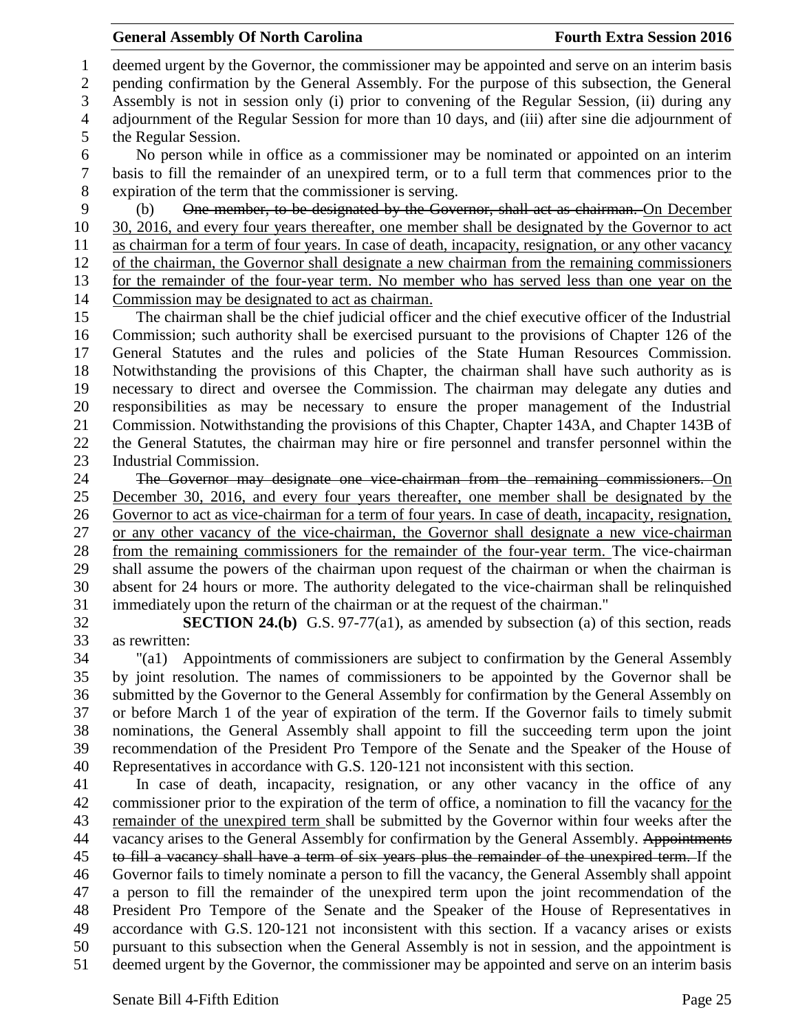deemed urgent by the Governor, the commissioner may be appointed and serve on an interim basis pending confirmation by the General Assembly. For the purpose of this subsection, the General Assembly is not in session only (i) prior to convening of the Regular Session, (ii) during any adjournment of the Regular Session for more than 10 days, and (iii) after sine die adjournment of the Regular Session.

 No person while in office as a commissioner may be nominated or appointed on an interim basis to fill the remainder of an unexpired term, or to a full term that commences prior to the expiration of the term that the commissioner is serving.

(b) One member, to be designated by the Governor, shall act as chairman. On December

30, 2016, and every four years thereafter, one member shall be designated by the Governor to act

 as chairman for a term of four years. In case of death, incapacity, resignation, or any other vacancy of the chairman, the Governor shall designate a new chairman from the remaining commissioners

for the remainder of the four-year term. No member who has served less than one year on the

Commission may be designated to act as chairman.

 The chairman shall be the chief judicial officer and the chief executive officer of the Industrial Commission; such authority shall be exercised pursuant to the provisions of Chapter 126 of the General Statutes and the rules and policies of the State Human Resources Commission. Notwithstanding the provisions of this Chapter, the chairman shall have such authority as is necessary to direct and oversee the Commission. The chairman may delegate any duties and responsibilities as may be necessary to ensure the proper management of the Industrial Commission. Notwithstanding the provisions of this Chapter, Chapter 143A, and Chapter 143B of the General Statutes, the chairman may hire or fire personnel and transfer personnel within the Industrial Commission.

 The Governor may designate one vice-chairman from the remaining commissioners. On December 30, 2016, and every four years thereafter, one member shall be designated by the Governor to act as vice-chairman for a term of four years. In case of death, incapacity, resignation, or any other vacancy of the vice-chairman, the Governor shall designate a new vice-chairman from the remaining commissioners for the remainder of the four-year term. The vice-chairman shall assume the powers of the chairman upon request of the chairman or when the chairman is absent for 24 hours or more. The authority delegated to the vice-chairman shall be relinquished immediately upon the return of the chairman or at the request of the chairman."

 **SECTION 24.(b)** G.S. 97-77(a1), as amended by subsection (a) of this section, reads as rewritten:

 "(a1) Appointments of commissioners are subject to confirmation by the General Assembly by joint resolution. The names of commissioners to be appointed by the Governor shall be submitted by the Governor to the General Assembly for confirmation by the General Assembly on or before March 1 of the year of expiration of the term. If the Governor fails to timely submit nominations, the General Assembly shall appoint to fill the succeeding term upon the joint recommendation of the President Pro Tempore of the Senate and the Speaker of the House of Representatives in accordance with G.S. 120-121 not inconsistent with this section.

 In case of death, incapacity, resignation, or any other vacancy in the office of any commissioner prior to the expiration of the term of office, a nomination to fill the vacancy for the remainder of the unexpired term shall be submitted by the Governor within four weeks after the 44 vacancy arises to the General Assembly for confirmation by the General Assembly. Appointments to fill a vacancy shall have a term of six years plus the remainder of the unexpired term. If the Governor fails to timely nominate a person to fill the vacancy, the General Assembly shall appoint a person to fill the remainder of the unexpired term upon the joint recommendation of the President Pro Tempore of the Senate and the Speaker of the House of Representatives in accordance with G.S. 120-121 not inconsistent with this section. If a vacancy arises or exists pursuant to this subsection when the General Assembly is not in session, and the appointment is deemed urgent by the Governor, the commissioner may be appointed and serve on an interim basis